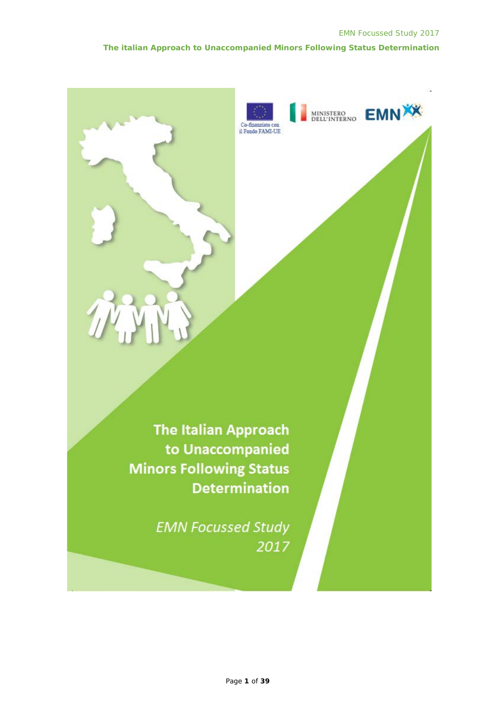MINISTERO EMNIX

*The italian Approach to Unaccompanied Minors Following Status Determination*

Co-finanziato con il Fondo FAMI-UE



**EMN Focussed Study** 2017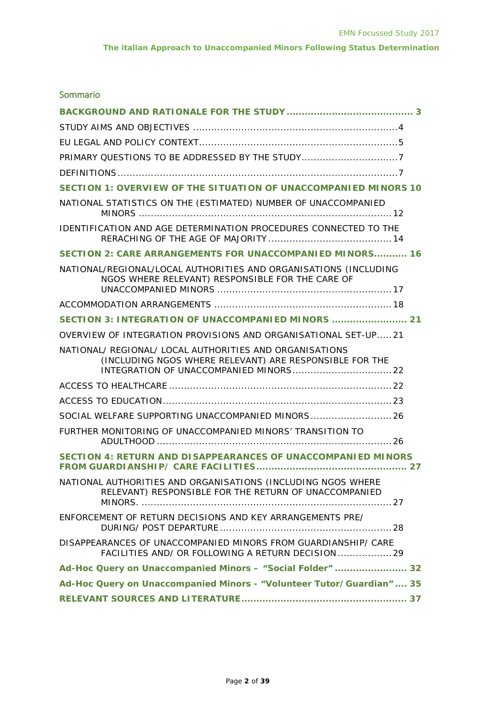# Sommario

| SECTION 1: OVERVIEW OF THE SITUATION OF UNACCOMPANIED MINORS 10                                                                                              |
|--------------------------------------------------------------------------------------------------------------------------------------------------------------|
| NATIONAL STATISTICS ON THE (ESTIMATED) NUMBER OF UNACCOMPANIED                                                                                               |
| IDENTIFICATION AND AGE DETERMINATION PROCEDURES CONNECTED TO THE                                                                                             |
| SECTION 2: CARE ARRANGEMENTS FOR UNACCOMPANIED MINORS 16                                                                                                     |
| NATIONAL/REGIONAL/LOCAL AUTHORITIES AND ORGANISATIONS (INCLUDING<br>NGOS WHERE RELEVANT) RESPONSIBLE FOR THE CARE OF                                         |
|                                                                                                                                                              |
|                                                                                                                                                              |
| OVERVIEW OF INTEGRATION PROVISIONS AND ORGANISATIONAL SET-UP21                                                                                               |
| NATIONAL/ REGIONAL/ LOCAL AUTHORITIES AND ORGANISATIONS<br>(INCLUDING NGOS WHERE RELEVANT) ARE RESPONSIBLE FOR THE<br>INTEGRATION OF UNACCOMPANIED MINORS 22 |
|                                                                                                                                                              |
|                                                                                                                                                              |
| SOCIAL WELFARE SUPPORTING UNACCOMPANIED MINORS 26                                                                                                            |
| FURTHER MONITORING OF UNACCOMPANIED MINORS' TRANSITION TO                                                                                                    |
| SECTION 4: RETURN AND DISAPPEARANCES OF UNACCOMPANIED MINORS                                                                                                 |
| NATIONAL AUTHORITIES AND ORGANISATIONS (INCLUDING NGOS WHERE<br>RELEVANT) RESPONSIBLE FOR THE RETURN OF UNACCOMPANIED                                        |
| ENFORCEMENT OF RETURN DECISIONS AND KEY ARRANGEMENTS PRE/                                                                                                    |
| DISAPPEARANCES OF UNACCOMPANIED MINORS FROM GUARDIANSHIP/ CARE<br>FACILITIES AND/ OR FOLLOWING A RETURN DECISION  29                                         |
| Ad-Hoc Query on Unaccompanied Minors - "Social Folder"  32                                                                                                   |
| Ad-Hoc Query on Unaccompanied Minors - "Volunteer Tutor/Guardian" 35                                                                                         |
|                                                                                                                                                              |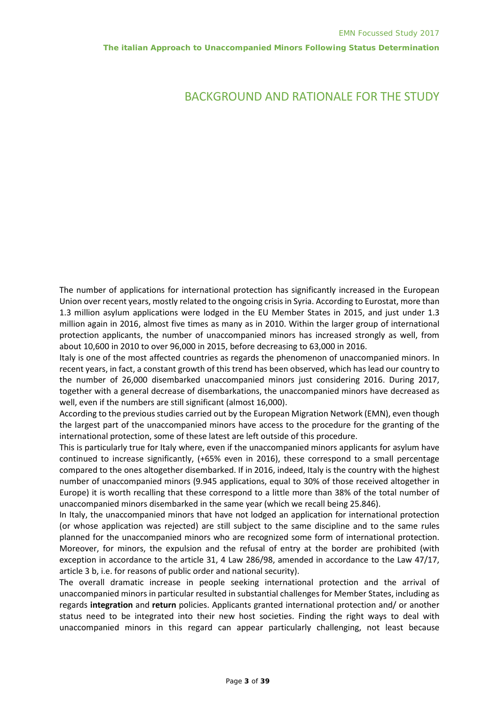# <span id="page-2-0"></span>BACKGROUND AND RATIONALE FOR THE STUDY

The number of applications for international protection has significantly increased in the European Union over recent years, mostly related to the ongoing crisis in Syria. According to Eurostat, more than 1.3 million asylum applications were lodged in the EU Member States in 2015, and just under 1.3 million again in 2016, almost five times as many as in 2010. Within the larger group of international protection applicants, the number of unaccompanied minors has increased strongly as well, from about 10,600 in 2010 to over 96,000 in 2015, before decreasing to 63,000 in 2016.

Italy is one of the most affected countries as regards the phenomenon of unaccompanied minors. In recent years, in fact, a constant growth of this trend has been observed, which has lead our country to the number of 26,000 disembarked unaccompanied minors just considering 2016. During 2017, together with a general decrease of disembarkations, the unaccompanied minors have decreased as well, even if the numbers are still significant (almost 16,000).

According to the previous studies carried out by the European Migration Network (EMN), even though the largest part of the unaccompanied minors have access to the procedure for the granting of the international protection, some of these latest are left outside of this procedure.

This is particularly true for Italy where, even if the unaccompanied minors applicants for asylum have continued to increase significantly, (+65% even in 2016), these correspond to a small percentage compared to the ones altogether disembarked. If in 2016, indeed, Italy is the country with the highest number of unaccompanied minors (9.945 applications, equal to 30% of those received altogether in Europe) it is worth recalling that these correspond to a little more than 38% of the total number of unaccompanied minors disembarked in the same year (which we recall being 25.846).

In Italy, the unaccompanied minors that have not lodged an application for international protection (or whose application was rejected) are still subject to the same discipline and to the same rules planned for the unaccompanied minors who are recognized some form of international protection. Moreover, for minors, the expulsion and the refusal of entry at the border are prohibited (with exception in accordance to the article 31, 4 Law 286/98, amended in accordance to the Law 47/17, article 3 b, i.e. for reasons of public order and national security).

The overall dramatic increase in people seeking international protection and the arrival of unaccompanied minors in particular resulted in substantial challenges for Member States, including as regards **integration** and **return** policies. Applicants granted international protection and/ or another status need to be integrated into their new host societies. Finding the right ways to deal with unaccompanied minors in this regard can appear particularly challenging, not least because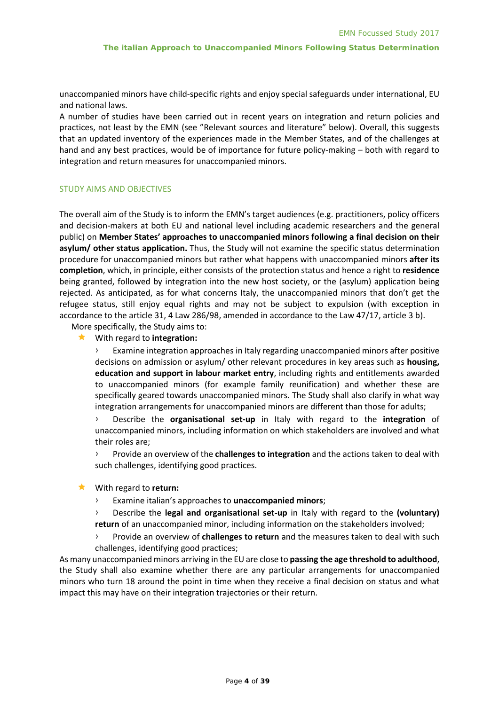unaccompanied minors have child-specific rights and enjoy special safeguards under international, EU and national laws.

A number of studies have been carried out in recent years on integration and return policies and practices, not least by the EMN (see "Relevant sources and literature" below). Overall, this suggests that an updated inventory of the experiences made in the Member States, and of the challenges at hand and any best practices, would be of importance for future policy-making – both with regard to integration and return measures for unaccompanied minors.

#### <span id="page-3-0"></span>STUDY AIMS AND OBJECTIVES

The overall aim of the Study is to inform the EMN's target audiences (e.g. practitioners, policy officers and decision-makers at both EU and national level including academic researchers and the general public) on **Member States' approaches to unaccompanied minors following a final decision on their asylum/ other status application.** Thus, the Study will not examine the specific status determination procedure for unaccompanied minors but rather what happens with unaccompanied minors **after its completion**, which, in principle, either consists of the protection status and hence a right to **residence** being granted, followed by integration into the new host society, or the (asylum) application being rejected. As anticipated, as for what concerns Italy, the unaccompanied minors that don't get the refugee status, still enjoy equal rights and may not be subject to expulsion (with exception in accordance to the article 31, 4 Law 286/98, amended in accordance to the Law 47/17, article 3 b).

More specifically, the Study aims to:

With regard to **integration:**

Examine integration approaches in Italy regarding unaccompanied minors after positive decisions on admission or asylum/ other relevant procedures in key areas such as **housing, education and support in labour market entry**, including rights and entitlements awarded to unaccompanied minors (for example family reunification) and whether these are specifically geared towards unaccompanied minors. The Study shall also clarify in what way integration arrangements for unaccompanied minors are different than those for adults;

› Describe the **organisational set-up** in Italy with regard to the **integration** of unaccompanied minors, including information on which stakeholders are involved and what their roles are;

Provide an overview of the **challenges to integration** and the actions taken to deal with such challenges, identifying good practices.

#### ★ With regard to **return:**

› Examine italian's approaches to **unaccompanied minors**;

› Describe the **legal and organisational set-up** in Italy with regard to the **(voluntary) return** of an unaccompanied minor, including information on the stakeholders involved;

› Provide an overview of **challenges to return** and the measures taken to deal with such challenges, identifying good practices;

As many unaccompanied minors arriving in the EU are close to **passing the age threshold to adulthood**, the Study shall also examine whether there are any particular arrangements for unaccompanied minors who turn 18 around the point in time when they receive a final decision on status and what impact this may have on their integration trajectories or their return.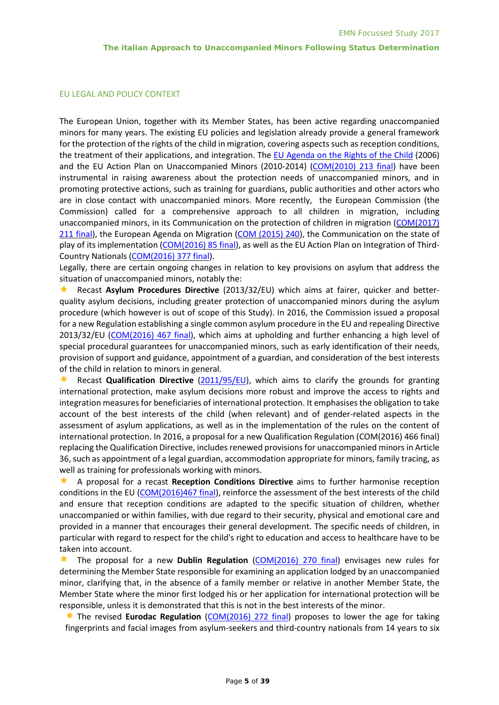#### <span id="page-4-0"></span>EU LEGAL AND POLICY CONTEXT

The European Union, together with its Member States, has been active regarding unaccompanied minors for many years. The existing EU policies and legislation already provide a general framework for the protection of the rights of the child in migration, covering aspects such as reception conditions, the treatment of their applications, and integration. The [EU Agenda on the Rights of the Child](http://ec.europa.eu/justice/fundamental-rights/rights-child/eu-agenda/index_en.htm) (2006) and the EU Action Plan on Unaccompanied Minors (2010-2014) [\(COM\(2010\) 213 final\)](http://eur-lex.europa.eu/LexUriServ/LexUriServ.do?uri=COM:2010:0213:FIN:en:PDF) have been instrumental in raising awareness about the protection needs of unaccompanied minors, and in promoting protective actions, such as training for guardians, public authorities and other actors who are in close contact with unaccompanied minors. More recently, the European Commission (the Commission) called for a comprehensive approach to all children in migration, including unaccompanied minors, in its Communication on the protection of children in migration [\(COM\(2017\)](https://ec.europa.eu/home-affairs/sites/homeaffairs/files/what-we-do/policies/european-agenda-migration/20170412_communication_on_the_protection_of_children_in_migration_en.pdf)  [211 final\)](https://ec.europa.eu/home-affairs/sites/homeaffairs/files/what-we-do/policies/european-agenda-migration/20170412_communication_on_the_protection_of_children_in_migration_en.pdf), the European Agenda on Migration [\(COM \(2015\) 240\)](https://ec.europa.eu/anti-trafficking/sites/antitrafficking/files/communication_on_the_european_agenda_on_migration_en.pdf), the Communication on the state of play of its implementation [\(COM\(2016\) 85 final\)](https://ec.europa.eu/transparency/regdoc/rep/1/2016/EN/1-2016-85-EN-F1-1.PDF), as well as the EU Action Plan on Integration of Third-Country Nationals [\(COM\(2016\) 377 final\)](https://ec.europa.eu/home-affairs/sites/homeaffairs/files/what-we-do/policies/european-agenda-migration/proposal-implementation-package/docs/20160607/communication_action_plan_integration_third-country_nationals_en.pdf).

Legally, there are certain ongoing changes in relation to key provisions on asylum that address the situation of unaccompanied minors, notably the:

 Recast **Asylum Procedures Directive** (2013/32/EU) which aims at fairer, quicker and betterquality asylum decisions, including greater protection of unaccompanied minors during the asylum procedure (which however is out of scope of this Study). In 2016, the Commission issued a proposal for a new Regulation establishing a single common asylum procedure in the EU and repealing Directive 2013/32/EU [\(COM\(2016\) 467 final\)](https://ec.europa.eu/transparency/regdoc/rep/1/2016/EN/1-2016-467-EN-F1-1.PDF), which aims at upholding and further enhancing a high level of special procedural guarantees for unaccompanied minors, such as early identification of their needs, provision of support and guidance, appointment of a guardian, and consideration of the best interests of the child in relation to minors in general.

 Recast **Qualification Directive** [\(2011/95/EU\)](http://eur-lex.europa.eu/LexUriServ/LexUriServ.do?uri=OJ:L:2011:337:0009:0026:en:PDF), which aims to clarify the grounds for granting international protection, make asylum decisions more robust and improve the access to rights and integration measures for beneficiaries of international protection. It emphasises the obligation to take account of the best interests of the child (when relevant) and of gender-related aspects in the assessment of asylum applications, as well as in the implementation of the rules on the content of international protection. In 2016, a proposal for a new Qualification Regulation [\(COM\(2016\) 466 final\)](https://ec.europa.eu/home-affairs/sites/homeaffairs/files/what-we-do/policies/european-agenda-migration/proposal-implementation-package/docs/20160713/proposal_on_beneficiaries_of_international_protection_-_subsidiary_protection_eligibility_-_prote) replacing the Qualification Directive, includes renewed provisions for unaccompanied minors in Article 36, such as appointment of a legal guardian, accommodation appropriate for minors, family tracing, as well as training for professionals working with minors.

 A proposal for a recast **Reception Conditions Directive** aims to further harmonise reception conditions in the EU [\(COM\(2016\)467 final\)](https://ec.europa.eu/transparency/regdoc/rep/1/2016/EN/1-2016-467-EN-F1-1.PDF), reinforce the assessment of the best interests of the child and ensure that reception conditions are adapted to the specific situation of children, whether unaccompanied or within families, with due regard to their security, physical and emotional care and provided in a manner that encourages their general development. The specific needs of children, in particular with regard to respect for the child's right to education and access to healthcare have to be taken into account.

 The proposal for a new **Dublin Regulation** [\(COM\(2016\) 270 final\)](https://ec.europa.eu/transparency/regdoc/rep/1/2016/EN/1-2016-270-EN-F1-1.PDF) envisages new rules for determining the Member State responsible for examining an application lodged by an unaccompanied minor, clarifying that, in the absence of a family member or relative in another Member State, the Member State where the minor first lodged his or her application for international protection will be responsible, unless it is demonstrated that this is not in the best interests of the minor.

**★ The revised Eurodac Regulation** [\(COM\(2016\) 272 final\)](http://eur-lex.europa.eu/legal-content/EN/TXT/PDF/?uri=CELEX:52016PC0272&from=EN) proposes to lower the age for taking fingerprints and facial images from asylum-seekers and third-country nationals from 14 years to six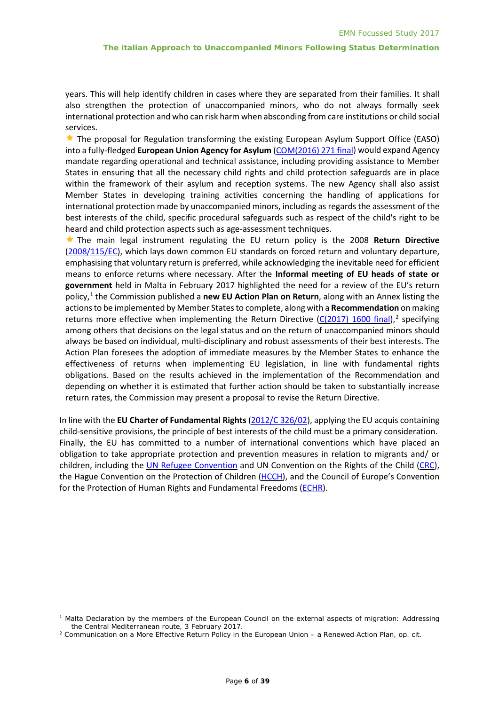years. This will help identify children in cases where they are separated from their families. It shall also strengthen the protection of unaccompanied minors, who do not always formally seek international protection and who can risk harm when absconding from care institutions or child social services.

 $\star$  The proposal for Regulation transforming the existing European Asylum Support Office (EASO) into a fully-fledged **European Union Agency for Asylum** [\(COM\(2016\) 271 final\)](https://ec.europa.eu/home-affairs/sites/homeaffairs/files/what-we-do/policies/european-agenda-migration/proposal-implementation-package/docs/20160504/easo_proposal_en.pdf) would expand Agency mandate regarding operational and technical assistance, including providing assistance to Member States in ensuring that all the necessary child rights and child protection safeguards are in place within the framework of their asylum and reception systems. The new Agency shall also assist Member States in developing training activities concerning the handling of applications for international protection made by unaccompanied minors, including as regards the assessment of the best interests of the child, specific procedural safeguards such as respect of the child's right to be heard and child protection aspects such as age-assessment techniques.

 The main legal instrument regulating the EU return policy is the 2008 **Return Directive** [\(2008/115/EC\)](http://eur-lex.europa.eu/LexUriServ/LexUriServ.do?uri=OJ:L:2008:348:0098:0107:en:PDF), which lays down common EU standards on forced return and voluntary departure, emphasising that voluntary return is preferred, while acknowledging the inevitable need for efficient means to enforce returns where necessary. After the **Informal meeting of EU heads of state or government** held in Malta in February 2017 highlighted the need for a review of the EU's return policy,[1](#page-5-0) the Commission published a **new EU Action Plan on Return**, along with an Annex listing the actions to be implemented by Member States to complete, along with a **Recommendation** on making returns more effective when implementing the Return Directive [\(C\(2017\) 1600 final\)](https://ec.europa.eu/home-affairs/sites/homeaffairs/files/what-we-do/policies/european-agenda-migration/20170302_commission_recommendation_on_making_returns_more_effective_en.pdf),<sup>[2](#page-5-1)</sup> specifying among others that decisions on the legal status and on the return of unaccompanied minors should always be based on individual, multi-disciplinary and robust assessments of their best interests. The Action Plan foresees the adoption of immediate measures by the Member States to enhance the effectiveness of returns when implementing EU legislation, in line with fundamental rights obligations. Based on the results achieved in the implementation of the Recommendation and depending on whether it is estimated that further action should be taken to substantially increase return rates, the Commission may present a proposal to revise the Return Directive.

In line with the **EU Charter of Fundamental Rights** [\(2012/C 326/02\)](http://eur-lex.europa.eu/legal-content/EN/TXT/PDF/?uri=CELEX:12012P/TXT&from=EN), applying the EU acquis containing child-sensitive provisions, the principle of best interests of the child must be a primary consideration. Finally, the EU has committed to a number of international conventions which have placed an obligation to take appropriate protection and prevention measures in relation to migrants and/ or children, including the [UN Refugee Convention](http://www.unhcr.org/pages/49da0e466.html) and UN Convention on the Rights of the Child [\(CRC\)](http://www.unicef.org/crc/), the Hague Convention on the Protection of Children [\(HCCH\)](http://www.hcch.net/index_en.php?act=conventions.text&cid=69), and the Council of Europe's Convention for the Protection of Human Rights and Fundamental Freedoms [\(ECHR\)](http://conventions.coe.int/treaty/en/treaties/html/005.htm).

1

<span id="page-5-0"></span><sup>1</sup> Malta Declaration by the members of the European Council on the external aspects of migration: *Addressing the Central Mediterranean route*, 3 February 2017. 2 Communication on a *More Effective Return Policy in the European Union – a Renewed Action Plan*, *op. cit*.

<span id="page-5-1"></span>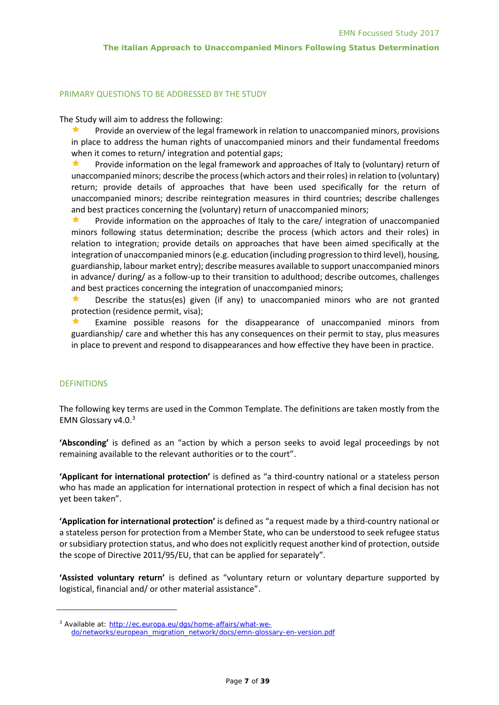## <span id="page-6-0"></span>PRIMARY QUESTIONS TO BE ADDRESSED BY THE STUDY

The Study will aim to address the following:

 Provide an overview of the legal framework in relation to unaccompanied minors, provisions in place to address the human rights of unaccompanied minors and their fundamental freedoms when it comes to return/ integration and potential gaps;

 Provide information on the legal framework and approaches of Italy to (voluntary) return of unaccompanied minors; describe the process (which actors and their roles) in relation to (voluntary) return; provide details of approaches that have been used specifically for the return of unaccompanied minors; describe reintegration measures in third countries; describe challenges and best practices concerning the (voluntary) return of unaccompanied minors;

 Provide information on the approaches of Italy to the care/ integration of unaccompanied minors following status determination; describe the process (which actors and their roles) in relation to integration; provide details on approaches that have been aimed specifically at the integration of unaccompanied minors(e.g. education (including progression to third level), housing, guardianship, labour market entry); describe measures available to support unaccompanied minors in advance/ during/ as a follow-up to their transition to adulthood; describe outcomes, challenges and best practices concerning the integration of unaccompanied minors;

 Describe the status(es) given (if any) to unaccompanied minors who are not granted protection (residence permit, visa);

 Examine possible reasons for the disappearance of unaccompanied minors from guardianship/ care and whether this has any consequences on their permit to stay, plus measures in place to prevent and respond to disappearances and how effective they have been in practice.

# <span id="page-6-1"></span>**DEFINITIONS**

<span id="page-6-2"></span>1

The following key terms are used in the Common Template. The definitions are taken mostly from the EMN Glossary v4.0.<sup>[3](#page-6-2)</sup>

**'Absconding'** is defined as an "action by which a person seeks to avoid legal proceedings by not remaining available to the relevant authorities or to the court".

**'Applicant for international protection'** is defined as "a third-country national or a stateless person who has made an application for international protection in respect of which a final decision has not yet been taken".

**'Application for international protection'** is defined as "a request made by a third-country national or a stateless person for protection from a Member State, who can be understood to seek refugee status or subsidiary protection status, and who does not explicitly request another kind of protection, outside the scope of Directive 2011/95/EU, that can be applied for separately".

**'Assisted voluntary return'** is defined as "voluntary return or voluntary departure supported by logistical, financial and/ or other material assistance".

<sup>&</sup>lt;sup>3</sup> Available at: [http://ec.europa.eu/dgs/home-affairs/what-we](http://ec.europa.eu/dgs/home-affairs/what-we-do/networks/european_migration_network/docs/emn-glossary-en-version.pdf)[do/networks/european\\_migration\\_network/docs/emn-glossary-en-version.pdf](http://ec.europa.eu/dgs/home-affairs/what-we-do/networks/european_migration_network/docs/emn-glossary-en-version.pdf)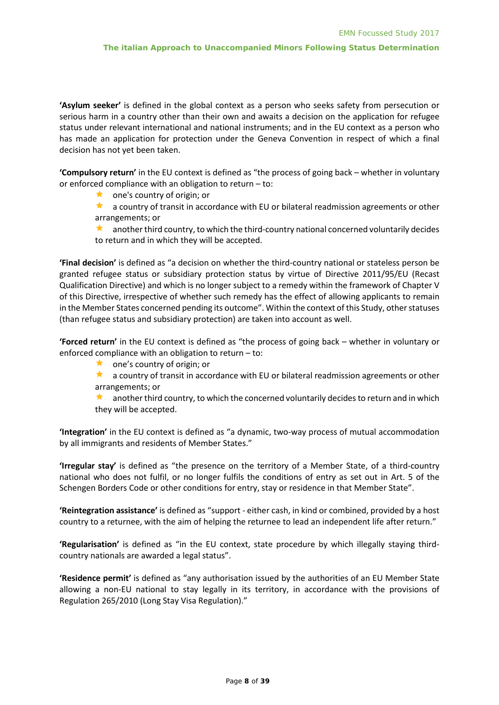**'Asylum seeker'** is defined in the global context as a person who seeks safety from persecution or serious harm in a country other than their own and awaits a decision on the application for refugee status under relevant international and national instruments; and in the EU context as a person who has made an application for protection under the Geneva Convention in respect of which a final decision has not yet been taken.

**'Compulsory return'** in the EU context is defined as "the process of going back – whether in voluntary or enforced compliance with an obligation to return – to:

- one's country of origin; or
- **A** a country of transit in accordance with EU or bilateral readmission agreements or other arrangements; or
- another third country, to which the third-country national concerned voluntarily decides to return and in which they will be accepted.

**'Final decision'** is defined as "a decision on whether the third-country national or stateless person be granted refugee status or subsidiary protection status by virtue of Directive 2011/95/EU (Recast Qualification Directive) and which is no longer subject to a remedy within the framework of Chapter V of this Directive, irrespective of whether such remedy has the effect of allowing applicants to remain in the Member States concerned pending its outcome". Within the context of this Study, other statuses (than refugee status and subsidiary protection) are taken into account as well.

**'Forced return'** in the EU context is defined as "the process of going back – whether in voluntary or enforced compliance with an obligation to return – to:

- $\star$  one's country of origin; or
- $\star$  a country of transit in accordance with EU or bilateral readmission agreements or other arrangements; or
- another third country, to which the concerned voluntarily decides to return and in which they will be accepted.

**'Integration'** in the EU context is defined as "a dynamic, two-way process of mutual accommodation by all immigrants and residents of Member States."

**'Irregular stay'** is defined as "the presence on the territory of a Member State, of a third-country national who does not fulfil, or no longer fulfils the conditions of entry as set out in Art. 5 of the Schengen Borders Code or other conditions for entry, stay or residence in that Member State".

**'Reintegration assistance'** is defined as "support - either cash, in kind or combined, provided by a host country to a returnee, with the aim of helping the returnee to lead an independent life after return."

**'Regularisation'** is defined as "in the EU context, state procedure by which illegally staying thirdcountry nationals are awarded a legal status".

**'Residence permit'** is defined as "any authorisation issued by the authorities of an EU Member State allowing a non-EU national to stay legally in its territory, in accordance with the provisions of Regulation 265/2010 (Long Stay Visa Regulation)."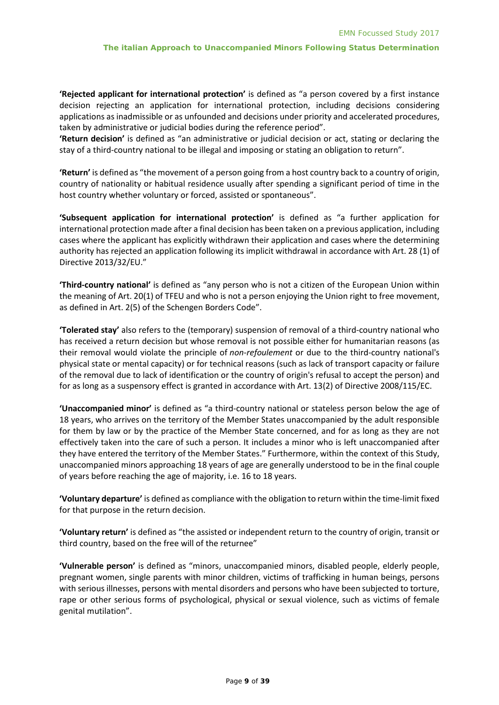**'Rejected applicant for international protection'** is defined as "a person covered by a first instance decision rejecting an application for international protection, including decisions considering applications as inadmissible or as unfounded and decisions under priority and accelerated procedures, taken by administrative or judicial bodies during the reference period".

**'Return decision'** is defined as "an administrative or judicial decision or act, stating or declaring the stay of a third-country national to be illegal and imposing or stating an obligation to return".

**'Return'** is defined as "the movement of a person going from a host country back to a country of origin, country of nationality or habitual residence usually after spending a significant period of time in the host country whether voluntary or forced, assisted or spontaneous".

**'Subsequent application for international protection'** is defined as "a further application for international protection made after a final decision has been taken on a previous application, including cases where the applicant has explicitly withdrawn their application and cases where the determining authority has rejected an application following its implicit withdrawal in accordance with Art. 28 (1) of Directive 2013/32/EU."

**'Third-country national'** is defined as "any person who is not a citizen of the European Union within the meaning of Art. 20(1) of TFEU and who is not a person enjoying the Union right to free movement, as defined in Art. 2(5) of the Schengen Borders Code".

**'Tolerated stay'** also refers to the (temporary) suspension of [removal](https://ec.europa.eu/home-affairs/what-we-do/networks/european_migration_network/glossary/p%23removal) of a [third-country national](https://ec.europa.eu/home-affairs/what-we-do/networks/european_migration_network/glossary/p%23third-country%20national) who has received a return decision but whose removal is not possible either for humanitarian reasons (as their removal would violate the principle of *[non-refoulement](https://ec.europa.eu/home-affairs/what-we-do/networks/european_migration_network/glossary/p%23non-refoulement)* or due to the third-country national's physical state or mental capacity) or for technical reasons (such as lack of transport capacity or failure of the removal due to lack of identification or the country of origin's refusal to accept the person) and for as long as a suspensory effect is granted in accordance with Art. 13(2) of [Directive 2008/115/EC.](http://eur-lex.europa.eu/legal-content/EN/ALL/?uri=CELEX:32008L0115)

**'Unaccompanied minor'** is defined as "a third-country national or stateless person below the age of 18 years, who arrives on the territory of the Member States unaccompanied by the adult responsible for them by law or by the practice of the Member State concerned, and for as long as they are not effectively taken into the care of such a person. It includes a minor who is left unaccompanied after they have entered the territory of the Member States." Furthermore, within the context of this Study, unaccompanied minors approaching 18 years of age are generally understood to be in the final couple of years before reaching the age of majority, i.e. 16 to 18 years.

**'Voluntary departure'** is defined as compliance with the obligation to return within the time-limit fixed for that purpose in the return decision.

**'Voluntary return'** is defined as "the assisted or independent return to the country of origin, transit or third country, based on the free will of the returnee"

**'Vulnerable person'** is defined as "minors, unaccompanied minors, disabled people, elderly people, pregnant women, single parents with minor children, victims of trafficking in human beings, persons with serious illnesses, persons with mental disorders and persons who have been subjected to torture, rape or other serious forms of psychological, physical or sexual violence, such as victims of female genital mutilation".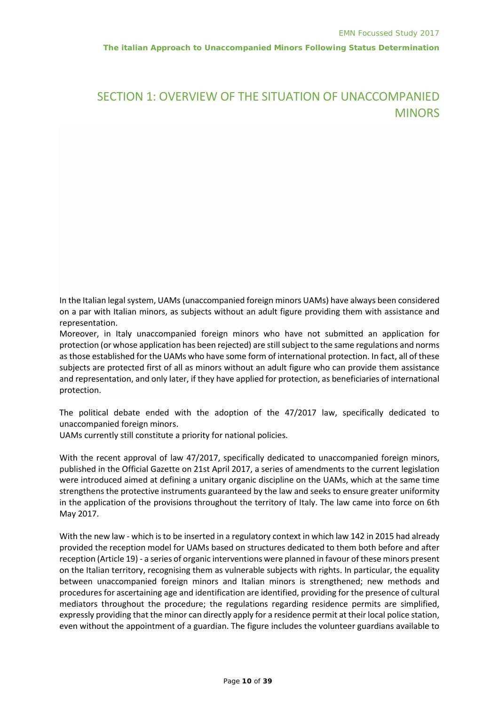# <span id="page-9-0"></span>SECTION 1: OVERVIEW OF THE SITUATION OF UNACCOMPANIED MINORS

In the Italian legal system, UAMs (unaccompanied foreign minors UAMs) have always been considered on a par with Italian minors, as subjects without an adult figure providing them with assistance and representation.

Moreover, in Italy unaccompanied foreign minors who have not submitted an application for protection (or whose application has been rejected) are still subject to the same regulations and norms as those established for the UAMs who have some form of international protection. In fact, all of these subjects are protected first of all as minors without an adult figure who can provide them assistance and representation, and only later, if they have applied for protection, as beneficiaries of international protection.

The political debate ended with the adoption of the 47/2017 law, specifically dedicated to unaccompanied foreign minors.

UAMs currently still constitute a priority for national policies.

With the recent approval of law 47/2017, specifically dedicated to unaccompanied foreign minors, published in the Official Gazette on 21st April 2017, a series of amendments to the current legislation were introduced aimed at defining a unitary organic discipline on the UAMs, which at the same time strengthens the protective instruments guaranteed by the law and seeks to ensure greater uniformity in the application of the provisions throughout the territory of Italy. The law came into force on 6th May 2017.

With the new law - which is to be inserted in a regulatory context in which law 142 in 2015 had already provided the reception model for UAMs based on structures dedicated to them both before and after reception (Article 19) - a series of organic interventions were planned in favour of these minors present on the Italian territory, recognising them as vulnerable subjects with rights. In particular, the equality between unaccompanied foreign minors and Italian minors is strengthened; new methods and procedures for ascertaining age and identification are identified, providing for the presence of cultural mediators throughout the procedure; the regulations regarding residence permits are simplified, expressly providing that the minor can directly apply for a residence permit at their local police station, even without the appointment of a guardian. The figure includes the volunteer guardians available to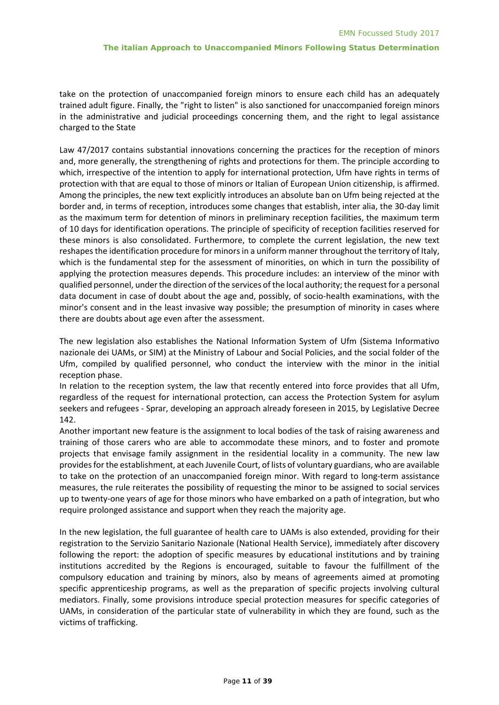take on the protection of unaccompanied foreign minors to ensure each child has an adequately trained adult figure. Finally, the "right to listen" is also sanctioned for unaccompanied foreign minors in the administrative and judicial proceedings concerning them, and the right to legal assistance charged to the State

Law 47/2017 contains substantial innovations concerning the practices for the reception of minors and, more generally, the strengthening of rights and protections for them. The principle according to which, irrespective of the intention to apply for international protection, Ufm have rights in terms of protection with that are equal to those of minors or Italian of European Union citizenship, is affirmed. Among the principles, the new text explicitly introduces an absolute ban on Ufm being rejected at the border and, in terms of reception, introduces some changes that establish, inter alia, the 30-day limit as the maximum term for detention of minors in preliminary reception facilities, the maximum term of 10 days for identification operations. The principle of specificity of reception facilities reserved for these minors is also consolidated. Furthermore, to complete the current legislation, the new text reshapes the identification procedure for minors in a uniform manner throughout the territory of Italy, which is the fundamental step for the assessment of minorities, on which in turn the possibility of applying the protection measures depends. This procedure includes: an interview of the minor with qualified personnel, under the direction of the services of the local authority; the request for a personal data document in case of doubt about the age and, possibly, of socio-health examinations, with the minor's consent and in the least invasive way possible; the presumption of minority in cases where there are doubts about age even after the assessment.

The new legislation also establishes the National Information System of Ufm (Sistema Informativo nazionale dei UAMs, or SIM) at the Ministry of Labour and Social Policies, and the social folder of the Ufm, compiled by qualified personnel, who conduct the interview with the minor in the initial reception phase.

In relation to the reception system, the law that recently entered into force provides that all Ufm, regardless of the request for international protection, can access the Protection System for asylum seekers and refugees - Sprar, developing an approach already foreseen in 2015, by Legislative Decree 142.

Another important new feature is the assignment to local bodies of the task of raising awareness and training of those carers who are able to accommodate these minors, and to foster and promote projects that envisage family assignment in the residential locality in a community. The new law provides for the establishment, at each Juvenile Court, of lists of voluntary guardians, who are available to take on the protection of an unaccompanied foreign minor. With regard to long-term assistance measures, the rule reiterates the possibility of requesting the minor to be assigned to social services up to twenty-one years of age for those minors who have embarked on a path of integration, but who require prolonged assistance and support when they reach the majority age.

In the new legislation, the full guarantee of health care to UAMs is also extended, providing for their registration to the Servizio Sanitario Nazionale (National Health Service), immediately after discovery following the report: the adoption of specific measures by educational institutions and by training institutions accredited by the Regions is encouraged, suitable to favour the fulfillment of the compulsory education and training by minors, also by means of agreements aimed at promoting specific apprenticeship programs, as well as the preparation of specific projects involving cultural mediators. Finally, some provisions introduce special protection measures for specific categories of UAMs, in consideration of the particular state of vulnerability in which they are found, such as the victims of trafficking.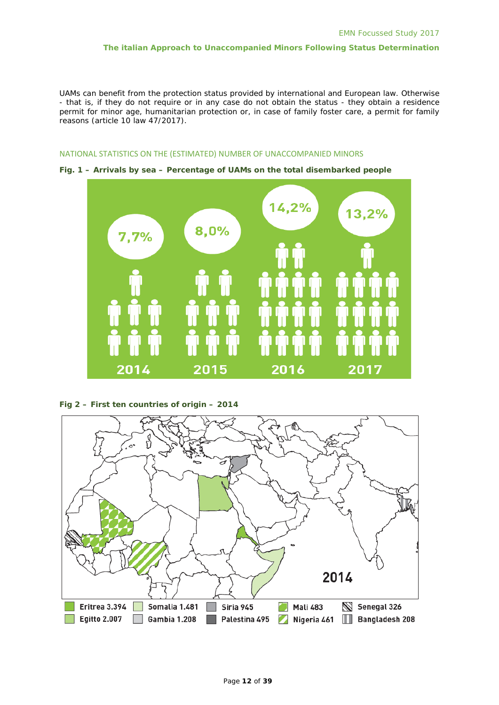UAMs can benefit from the protection status provided by international and European law. Otherwise - that is, if they do not require or in any case do not obtain the status - they obtain a residence permit for minor age, humanitarian protection or, in case of family foster care, a permit for family reasons (article 10 law 47/2017).

# <span id="page-11-0"></span>NATIONAL STATISTICS ON THE (ESTIMATED) NUMBER OF UNACCOMPANIED MINORS



## **Fig. 1 – Arrivals by sea – Percentage of UAMs on the total disembarked people**



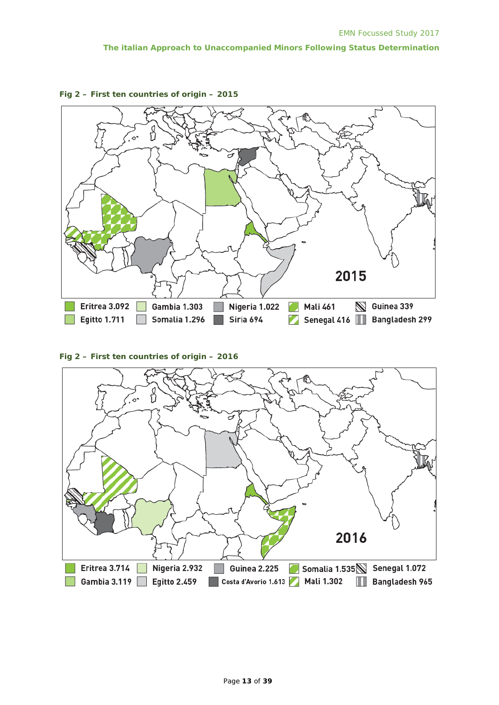

**Fig 2 – First ten countries of origin – 2015**

**Fig 2 – First ten countries of origin – 2016**

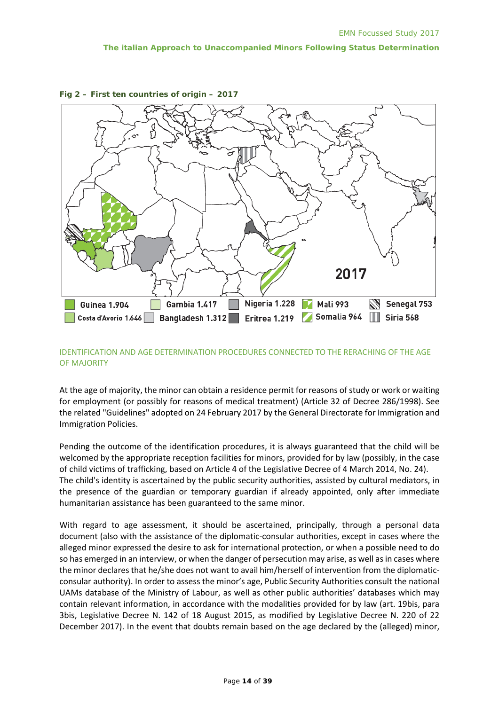

## **Fig 2 – First ten countries of origin – 2017**

# <span id="page-13-0"></span>IDENTIFICATION AND AGE DETERMINATION PROCEDURES CONNECTED TO THE RERACHING OF THE AGE OF MAJORITY

At the age of majority, the minor can obtain a residence permit for reasons of study or work or waiting for employment (or possibly for reasons of medical treatment) (Article 32 of Decree 286/1998). See the related "Guidelines" adopted on 24 February 2017 by the General Directorate for Immigration and Immigration Policies.

Pending the outcome of the identification procedures, it is always guaranteed that the child will be welcomed by the appropriate reception facilities for minors, provided for by law (possibly, in the case of child victims of trafficking, based on Article 4 of the Legislative Decree of 4 March 2014, No. 24). The child's identity is ascertained by the public security authorities, assisted by cultural mediators, in the presence of the guardian or temporary guardian if already appointed, only after immediate humanitarian assistance has been guaranteed to the same minor.

With regard to age assessment, it should be ascertained, principally, through a personal data document (also with the assistance of the diplomatic-consular authorities, except in cases where the alleged minor expressed the desire to ask for international protection, or when a possible need to do so has emerged in an interview, or when the danger of persecution may arise, as well as in cases where the minor declares that he/she does not want to avail him/herself of intervention from the diplomaticconsular authority). In order to assess the minor's age, Public Security Authorities consult the national UAMs database of the Ministry of Labour, as well as other public authorities' databases which may contain relevant information, in accordance with the modalities provided for by law (art. 19bis, para 3bis, Legislative Decree N. 142 of 18 August 2015, as modified by Legislative Decree N. 220 of 22 December 2017). In the event that doubts remain based on the age declared by the (alleged) minor,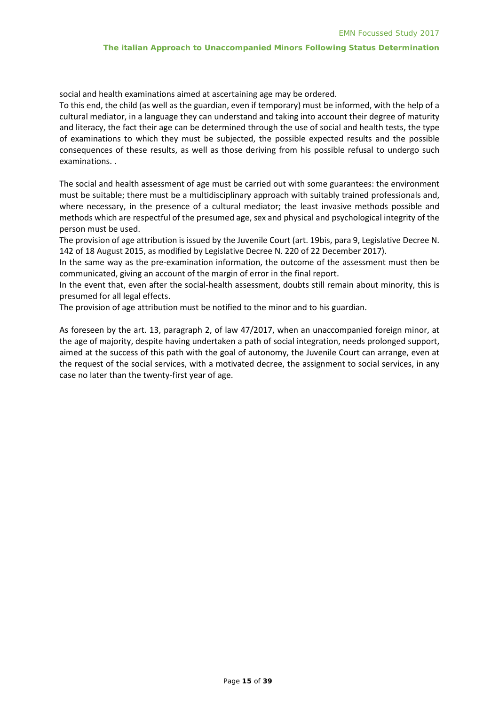social and health examinations aimed at ascertaining age may be ordered.

To this end, the child (as well as the guardian, even if temporary) must be informed, with the help of a cultural mediator, in a language they can understand and taking into account their degree of maturity and literacy, the fact their age can be determined through the use of social and health tests, the type of examinations to which they must be subjected, the possible expected results and the possible consequences of these results, as well as those deriving from his possible refusal to undergo such examinations. .

The social and health assessment of age must be carried out with some guarantees: the environment must be suitable; there must be a multidisciplinary approach with suitably trained professionals and, where necessary, in the presence of a cultural mediator; the least invasive methods possible and methods which are respectful of the presumed age, sex and physical and psychological integrity of the person must be used.

The provision of age attribution is issued by the Juvenile Court (art. 19bis, para 9, Legislative Decree N. 142 of 18 August 2015, as modified by Legislative Decree N. 220 of 22 December 2017).

In the same way as the pre-examination information, the outcome of the assessment must then be communicated, giving an account of the margin of error in the final report.

In the event that, even after the social-health assessment, doubts still remain about minority, this is presumed for all legal effects.

The provision of age attribution must be notified to the minor and to his guardian.

As foreseen by the art. 13, paragraph 2, of law 47/2017, when an unaccompanied foreign minor, at the age of majority, despite having undertaken a path of social integration, needs prolonged support, aimed at the success of this path with the goal of autonomy, the Juvenile Court can arrange, even at the request of the social services, with a motivated decree, the assignment to social services, in any case no later than the twenty-first year of age.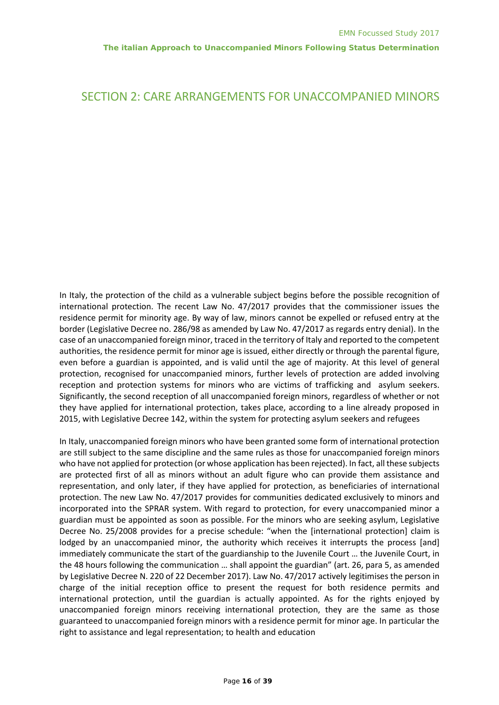# <span id="page-15-0"></span>SECTION 2: CARE ARRANGEMENTS FOR UNACCOMPANIED MINORS

In Italy, the protection of the child as a vulnerable subject begins before the possible recognition of international protection. The recent Law No. 47/2017 provides that the commissioner issues the residence permit for minority age. By way of law, minors cannot be expelled or refused entry at the border (Legislative Decree no. 286/98 as amended by Law No. 47/2017 as regards entry denial). In the case of an unaccompanied foreign minor, traced in the territory of Italy and reported to the competent authorities, the residence permit for minor age is issued, either directly or through the parental figure, even before a guardian is appointed, and is valid until the age of majority. At this level of general protection, recognised for unaccompanied minors, further levels of protection are added involving reception and protection systems for minors who are victims of trafficking and asylum seekers. Significantly, the second reception of all unaccompanied foreign minors, regardless of whether or not they have applied for international protection, takes place, according to a line already proposed in 2015, with Legislative Decree 142, within the system for protecting asylum seekers and refugees

In Italy, unaccompanied foreign minors who have been granted some form of international protection are still subject to the same discipline and the same rules as those for unaccompanied foreign minors who have not applied for protection (or whose application has been rejected). In fact, all these subjects are protected first of all as minors without an adult figure who can provide them assistance and representation, and only later, if they have applied for protection, as beneficiaries of international protection. The new Law No. 47/2017 provides for communities dedicated exclusively to minors and incorporated into the SPRAR system. With regard to protection, for every unaccompanied minor a guardian must be appointed as soon as possible. For the minors who are seeking asylum, Legislative Decree No. 25/2008 provides for a precise schedule: "when the [international protection] claim is lodged by an unaccompanied minor, the authority which receives it interrupts the process [and] immediately communicate the start of the guardianship to the Juvenile Court … the Juvenile Court, in the 48 hours following the communication … shall appoint the guardian" (art. 26, para 5, as amended by Legislative Decree N. 220 of 22 December 2017). Law No. 47/2017 actively legitimises the person in charge of the initial reception office to present the request for both residence permits and international protection, until the guardian is actually appointed. As for the rights enjoyed by unaccompanied foreign minors receiving international protection, they are the same as those guaranteed to unaccompanied foreign minors with a residence permit for minor age. In particular the right to assistance and legal representation; to health and education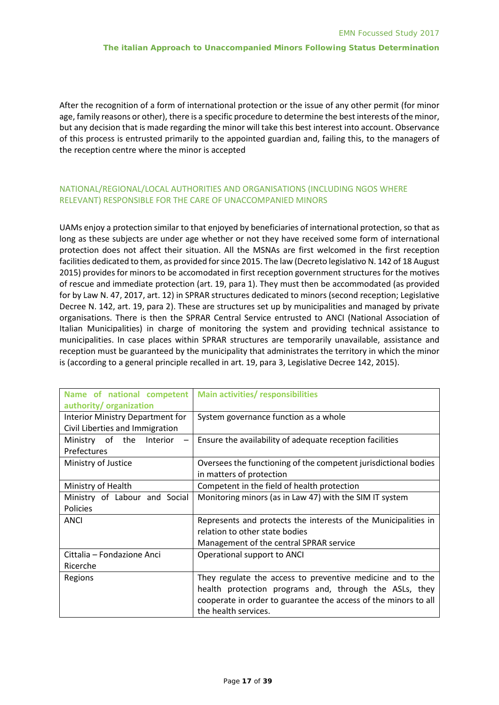After the recognition of a form of international protection or the issue of any other permit (for minor age, family reasons or other), there is a specific procedure to determine the best interests of the minor, but any decision that is made regarding the minor will take this best interest into account. Observance of this process is entrusted primarily to the appointed guardian and, failing this, to the managers of the reception centre where the minor is accepted

# <span id="page-16-0"></span>NATIONAL/REGIONAL/LOCAL AUTHORITIES AND ORGANISATIONS (INCLUDING NGOS WHERE RELEVANT) RESPONSIBLE FOR THE CARE OF UNACCOMPANIED MINORS

UAMs enjoy a protection similar to that enjoyed by beneficiaries of international protection, so that as long as these subjects are under age whether or not they have received some form of international protection does not affect their situation. All the MSNAs are first welcomed in the first reception facilities dedicated to them, as provided for since 2015. The law (Decreto legislativo N. 142 of 18 August 2015) provides for minors to be accomodated in first reception government structures for the motives of rescue and immediate protection (art. 19, para 1). They must then be accommodated (as provided for by Law N. 47, 2017, art. 12) in SPRAR structures dedicated to minors (second reception; Legislative Decree N. 142, art. 19, para 2). These are structures set up by municipalities and managed by private organisations. There is then the SPRAR Central Service entrusted to ANCI (National Association of Italian Municipalities) in charge of monitoring the system and providing technical assistance to municipalities. In case places within SPRAR structures are temporarily unavailable, assistance and reception must be guaranteed by the municipality that administrates the territory in which the minor is (according to a general principle recalled in art. 19, para 3, Legislative Decree 142, 2015).

| Name of national competent<br>authority/ organization               | <b>Main activities/ responsibilities</b>                                                    |
|---------------------------------------------------------------------|---------------------------------------------------------------------------------------------|
| Interior Ministry Department for<br>Civil Liberties and Immigration | System governance function as a whole                                                       |
| Ministry of the<br>Interior<br>Prefectures                          | Ensure the availability of adequate reception facilities                                    |
| Ministry of Justice                                                 | Oversees the functioning of the competent jurisdictional bodies<br>in matters of protection |
| Ministry of Health                                                  | Competent in the field of health protection                                                 |
| Ministry of Labour and Social                                       | Monitoring minors (as in Law 47) with the SIM IT system                                     |
| Policies                                                            |                                                                                             |
| ANCI                                                                | Represents and protects the interests of the Municipalities in                              |
|                                                                     | relation to other state bodies                                                              |
|                                                                     | Management of the central SPRAR service                                                     |
| Cittalia - Fondazione Anci                                          | Operational support to ANCI                                                                 |
| Ricerche                                                            |                                                                                             |
| Regions                                                             | They regulate the access to preventive medicine and to the                                  |
|                                                                     | health protection programs and, through the ASLs, they                                      |
|                                                                     | cooperate in order to guarantee the access of the minors to all                             |
|                                                                     | the health services.                                                                        |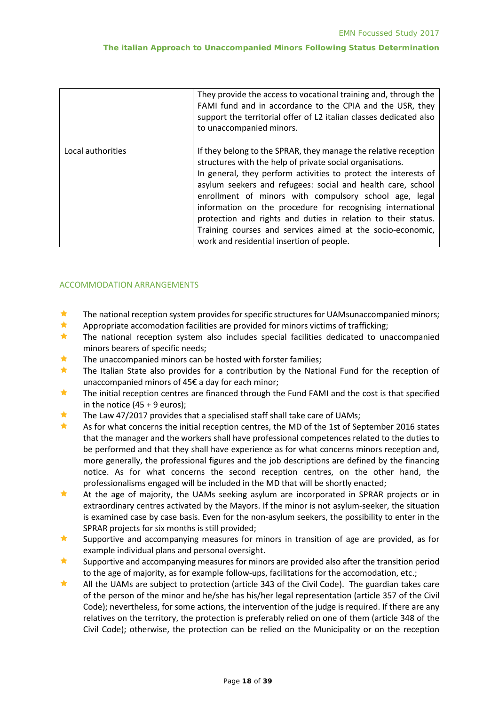|                   | They provide the access to vocational training and, through the<br>FAMI fund and in accordance to the CPIA and the USR, they<br>support the territorial offer of L2 italian classes dedicated also<br>to unaccompanied minors.                                                                                                                                                                                                                                                                                                                                     |
|-------------------|--------------------------------------------------------------------------------------------------------------------------------------------------------------------------------------------------------------------------------------------------------------------------------------------------------------------------------------------------------------------------------------------------------------------------------------------------------------------------------------------------------------------------------------------------------------------|
| Local authorities | If they belong to the SPRAR, they manage the relative reception<br>structures with the help of private social organisations.<br>In general, they perform activities to protect the interests of<br>asylum seekers and refugees: social and health care, school<br>enrollment of minors with compulsory school age, legal<br>information on the procedure for recognising international<br>protection and rights and duties in relation to their status.<br>Training courses and services aimed at the socio-economic,<br>work and residential insertion of people. |

# <span id="page-17-0"></span>ACCOMMODATION ARRANGEMENTS

- $\star$  The national reception system provides for specific structures for UAMsunaccompanied minors;
- Appropriate accomodation facilities are provided for minors victims of trafficking;
- **The national reception system also includes special facilities dedicated to unaccompanied** minors bearers of specific needs;
- $\star$  The unaccompanied minors can be hosted with forster families;
- The Italian State also provides for a contribution by the National Fund for the reception of unaccompanied minors of 45€ a day for each minor;
- $\star$  The initial reception centres are financed through the Fund FAMI and the cost is that specified in the notice  $(45 + 9$  euros);
- $\star$  The Law 47/2017 provides that a specialised staff shall take care of UAMs;
- As for what concerns the initial reception centres, the MD of the 1st of September 2016 states that the manager and the workers shall have professional competences related to the duties to be performed and that they shall have experience as for what concerns minors reception and, more generally, the professional figures and the job descriptions are defined by the financing notice. As for what concerns the second reception centres, on the other hand, the professionalisms engaged will be included in the MD that will be shortly enacted;
- At the age of majority, the UAMs seeking asylum are incorporated in SPRAR projects or in extraordinary centres activated by the Mayors. If the minor is not asylum-seeker, the situation is examined case by case basis. Even for the non-asylum seekers, the possibility to enter in the SPRAR projects for six months is still provided;
- Supportive and accompanying measures for minors in transition of age are provided, as for example individual plans and personal oversight.
- Supportive and accompanying measures for minors are provided also after the transition period to the age of majority, as for example follow-ups, facilitations for the accomodation, etc.;
- All the UAMs are subject to protection (article 343 of the Civil Code). The guardian takes care of the person of the minor and he/she has his/her legal representation (article 357 of the Civil Code); nevertheless, for some actions, the intervention of the judge is required. If there are any relatives on the territory, the protection is preferably relied on one of them (article 348 of the Civil Code); otherwise, the protection can be relied on the Municipality or on the reception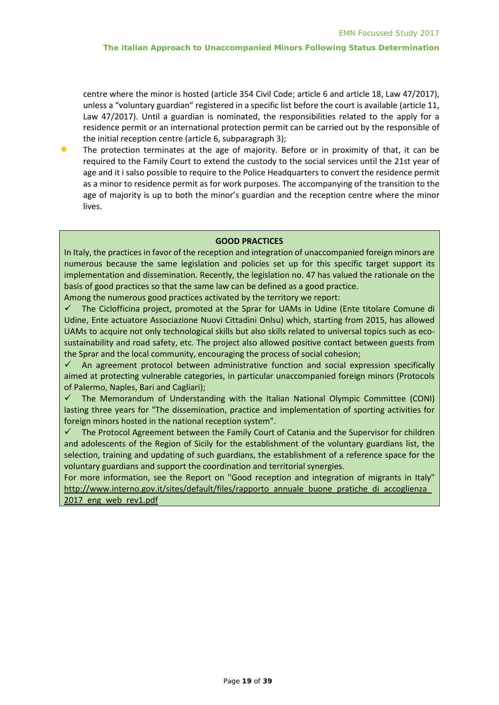centre where the minor is hosted (article 354 Civil Code; article 6 and article 18, Law 47/2017), unless a "voluntary guardian" registered in a specific list before the court is available (article 11, Law 47/2017). Until a guardian is nominated, the responsibilities related to the apply for a residence permit or an international protection permit can be carried out by the responsible of the initial reception centre (article 6, subparagraph 3);

The protection terminates at the age of majority. Before or in proximity of that, it can be required to the Family Court to extend the custody to the social services until the 21st year of age and it i salso possible to require to the Police Headquarters to convert the residence permit as a minor to residence permit as for work purposes. The accompanying of the transition to the age of majority is up to both the minor's guardian and the reception centre where the minor lives.

# **GOOD PRACTICES**

In Italy, the practices in favor of the reception and integration of unaccompanied foreign minors are numerous because the same legislation and policies set up for this specific target support its implementation and dissemination. Recently, the legislation no. 47 has valued the rationale on the basis of good practices so that the same law can be defined as a good practice.

Among the numerous good practices activated by the territory we report:

 The Ciclofficina project, promoted at the Sprar for UAMs in Udine (Ente titolare Comune di Udine, Ente actuatore Associazione Nuovi Cittadini Onlsu) which, starting from 2015, has allowed UAMs to acquire not only technological skills but also skills related to universal topics such as ecosustainability and road safety, etc. The project also allowed positive contact between guests from the Sprar and the local community, encouraging the process of social cohesion;

 An agreement protocol between administrative function and social expression specifically aimed at protecting vulnerable categories, in particular unaccompanied foreign minors (Protocols of Palermo, Naples, Bari and Cagliari);

 $\checkmark$  The Memorandum of Understanding with the Italian National Olympic Committee (CONI) lasting three years for "The dissemination, practice and implementation of sporting activities for foreign minors hosted in the national reception system".

 The Protocol Agreement between the Family Court of Catania and the Supervisor for children and adolescents of the Region of Sicily for the establishment of the voluntary guardians list, the selection, training and updating of such guardians, the establishment of a reference space for the voluntary guardians and support the coordination and territorial synergies.

For more information, see the Report on "Good reception and integration of migrants in Italy" [http://www.interno.gov.it/sites/default/files/rapporto\\_annuale\\_buone\\_pratiche\\_di\\_accoglienza\\_](http://www.interno.gov.it/sites/default/files/rapporto_annuale_buone_pratiche_di_accoglienza_2017_eng_web_rev1.pdf) 2017 eng web rev1.pdf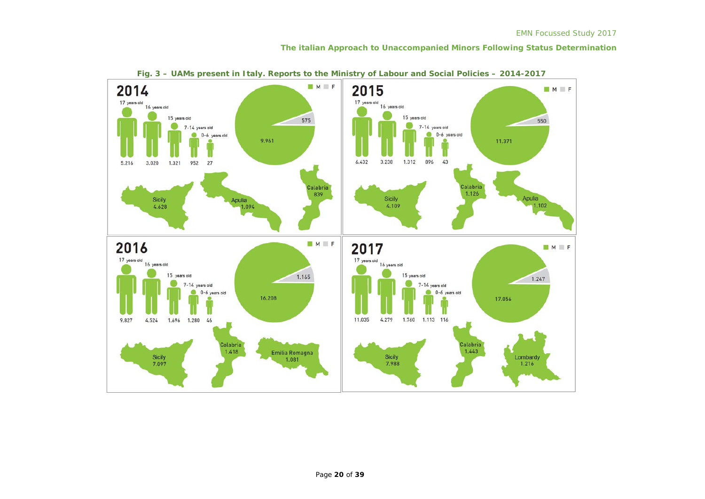

**Fig. 3 – UAMs present in Italy. Reports to the Ministry of Labour and Social Policies – 2014-2017**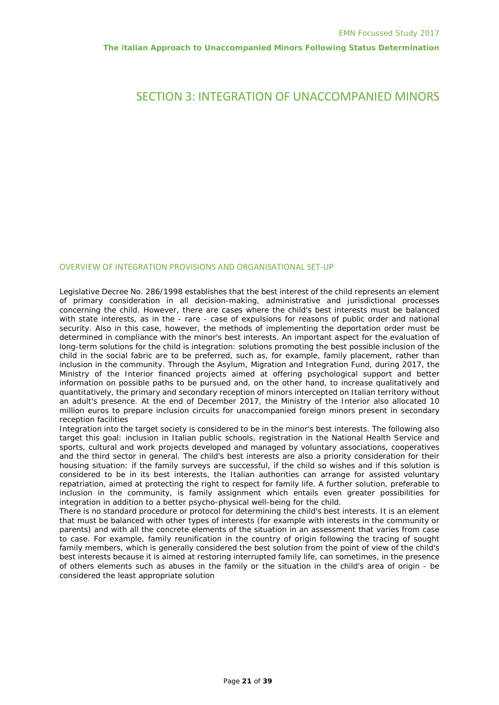# <span id="page-20-0"></span>SECTION 3: INTEGRATION OF UNACCOMPANIED MINORS

#### <span id="page-20-1"></span>OVERVIEW OF INTEGRATION PROVISIONS AND ORGANISATIONAL SET-UP

Legislative Decree No. 286/1998 establishes that the best interest of the child represents an element of primary consideration in all decision-making, administrative and jurisdictional processes concerning the child. However, there are cases where the child's best interests must be balanced with state interests, as in the - rare - case of expulsions for reasons of public order and national security. Also in this case, however, the methods of implementing the deportation order must be determined in compliance with the minor's best interests. An important aspect for the evaluation of long-term solutions for the child is integration: solutions promoting the best possible inclusion of the child in the social fabric are to be preferred, such as, for example, family placement, rather than inclusion in the community. Through the Asylum, Migration and Integration Fund, during 2017, the Ministry of the Interior financed projects aimed at offering psychological support and better information on possible paths to be pursued and, on the other hand, to increase qualitatively and quantitatively, the primary and secondary reception of minors intercepted on Italian territory without an adult's presence. At the end of December 2017, the Ministry of the Interior also allocated 10 million euros to prepare inclusion circuits for unaccompanied foreign minors present in secondary reception facilities

Integration into the target society is considered to be in the minor's best interests. The following also target this goal: inclusion in Italian public schools, registration in the National Health Service and sports, cultural and work projects developed and managed by voluntary associations, cooperatives and the third sector in general. The child's best interests are also a priority consideration for their housing situation: if the family surveys are successful, if the child so wishes and if this solution is considered to be in its best interests, the Italian authorities can arrange for assisted voluntary repatriation, aimed at protecting the right to respect for family life. A further solution, preferable to inclusion in the community, is family assignment which entails even greater possibilities for integration in addition to a better psycho-physical well-being for the child.

There is no standard procedure or protocol for determining the child's best interests. It is an element that must be balanced with other types of interests (for example with interests in the community or parents) and with all the concrete elements of the situation in an assessment that varies from case to case. For example, family reunification in the country of origin following the tracing of sought family members, which is generally considered the best solution from the point of view of the child's best interests because it is aimed at restoring interrupted family life, can sometimes, in the presence of others elements such as abuses in the family or the situation in the child's area of origin - be considered the least appropriate solution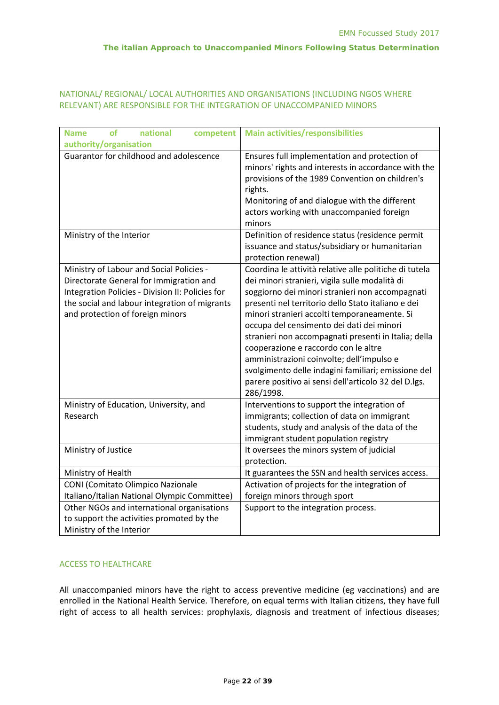# <span id="page-21-0"></span>NATIONAL/ REGIONAL/ LOCAL AUTHORITIES AND ORGANISATIONS (INCLUDING NGOS WHERE RELEVANT) ARE RESPONSIBLE FOR THE INTEGRATION OF UNACCOMPANIED MINORS

| national<br><b>Name</b><br>οf<br>competent<br>authority/organisation                                                                                                                                                         | <b>Main activities/responsibilities</b>                                                                                                                                                                                                                                                                                                                                                                                                                                                                                                                                                 |
|------------------------------------------------------------------------------------------------------------------------------------------------------------------------------------------------------------------------------|-----------------------------------------------------------------------------------------------------------------------------------------------------------------------------------------------------------------------------------------------------------------------------------------------------------------------------------------------------------------------------------------------------------------------------------------------------------------------------------------------------------------------------------------------------------------------------------------|
| Guarantor for childhood and adolescence                                                                                                                                                                                      | Ensures full implementation and protection of<br>minors' rights and interests in accordance with the<br>provisions of the 1989 Convention on children's<br>rights.<br>Monitoring of and dialogue with the different<br>actors working with unaccompanied foreign<br>minors                                                                                                                                                                                                                                                                                                              |
| Ministry of the Interior                                                                                                                                                                                                     | Definition of residence status (residence permit<br>issuance and status/subsidiary or humanitarian<br>protection renewal)                                                                                                                                                                                                                                                                                                                                                                                                                                                               |
| Ministry of Labour and Social Policies -<br>Directorate General for Immigration and<br>Integration Policies - Division II: Policies for<br>the social and labour integration of migrants<br>and protection of foreign minors | Coordina le attività relative alle politiche di tutela<br>dei minori stranieri, vigila sulle modalità di<br>soggiorno dei minori stranieri non accompagnati<br>presenti nel territorio dello Stato italiano e dei<br>minori stranieri accolti temporaneamente. Si<br>occupa del censimento dei dati dei minori<br>stranieri non accompagnati presenti in Italia; della<br>cooperazione e raccordo con le altre<br>amministrazioni coinvolte; dell'impulso e<br>svolgimento delle indagini familiari; emissione del<br>parere positivo ai sensi dell'articolo 32 del D.lgs.<br>286/1998. |
| Ministry of Education, University, and<br>Research                                                                                                                                                                           | Interventions to support the integration of<br>immigrants; collection of data on immigrant<br>students, study and analysis of the data of the<br>immigrant student population registry                                                                                                                                                                                                                                                                                                                                                                                                  |
| Ministry of Justice                                                                                                                                                                                                          | It oversees the minors system of judicial<br>protection.                                                                                                                                                                                                                                                                                                                                                                                                                                                                                                                                |
| Ministry of Health                                                                                                                                                                                                           | It guarantees the SSN and health services access.                                                                                                                                                                                                                                                                                                                                                                                                                                                                                                                                       |
| CONI (Comitato Olimpico Nazionale                                                                                                                                                                                            | Activation of projects for the integration of                                                                                                                                                                                                                                                                                                                                                                                                                                                                                                                                           |
| Italiano/Italian National Olympic Committee)                                                                                                                                                                                 | foreign minors through sport                                                                                                                                                                                                                                                                                                                                                                                                                                                                                                                                                            |
| Other NGOs and international organisations                                                                                                                                                                                   | Support to the integration process.                                                                                                                                                                                                                                                                                                                                                                                                                                                                                                                                                     |
| to support the activities promoted by the                                                                                                                                                                                    |                                                                                                                                                                                                                                                                                                                                                                                                                                                                                                                                                                                         |
| Ministry of the Interior                                                                                                                                                                                                     |                                                                                                                                                                                                                                                                                                                                                                                                                                                                                                                                                                                         |

# <span id="page-21-1"></span>ACCESS TO HEALTHCARE

All unaccompanied minors have the right to access preventive medicine (eg vaccinations) and are enrolled in the National Health Service. Therefore, on equal terms with Italian citizens, they have full right of access to all health services: prophylaxis, diagnosis and treatment of infectious diseases;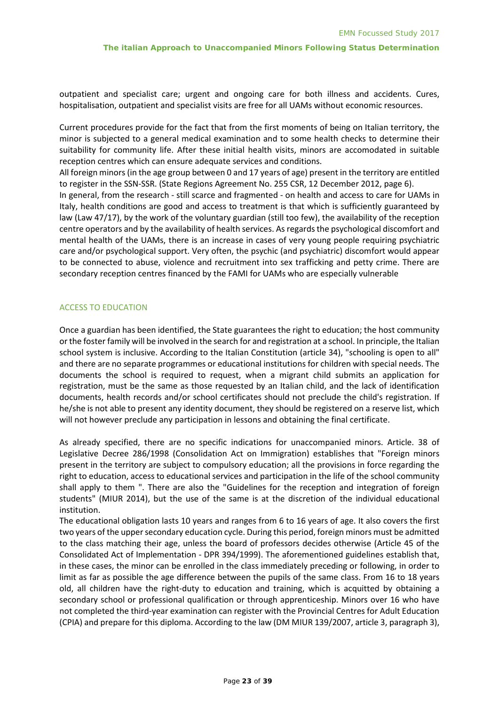outpatient and specialist care; urgent and ongoing care for both illness and accidents. Cures, hospitalisation, outpatient and specialist visits are free for all UAMs without economic resources.

Current procedures provide for the fact that from the first moments of being on Italian territory, the minor is subjected to a general medical examination and to some health checks to determine their suitability for community life. After these initial health visits, minors are accomodated in suitable reception centres which can ensure adequate services and conditions.

All foreign minors (in the age group between 0 and 17 years of age) present in the territory are entitled to register in the SSN-SSR. (State Regions Agreement No. 255 CSR, 12 December 2012, page 6).

In general, from the research - still scarce and fragmented - on health and access to care for UAMs in Italy, health conditions are good and access to treatment is that which is sufficiently guaranteed by law (Law 47/17), by the work of the voluntary guardian (still too few), the availability of the reception centre operators and by the availability of health services. As regards the psychological discomfort and mental health of the UAMs, there is an increase in cases of very young people requiring psychiatric care and/or psychological support. Very often, the psychic (and psychiatric) discomfort would appear to be connected to abuse, violence and recruitment into sex trafficking and petty crime. There are secondary reception centres financed by the FAMI for UAMs who are especially vulnerable

# <span id="page-22-0"></span>ACCESS TO EDUCATION

Once a guardian has been identified, the State guarantees the right to education; the host community or the foster family will be involved in the search for and registration at a school. In principle, the Italian school system is inclusive. According to the Italian Constitution (article 34), "schooling is open to all" and there are no separate programmes or educational institutions for children with special needs. The documents the school is required to request, when a migrant child submits an application for registration, must be the same as those requested by an Italian child, and the lack of identification documents, health records and/or school certificates should not preclude the child's registration. If he/she is not able to present any identity document, they should be registered on a reserve list, which will not however preclude any participation in lessons and obtaining the final certificate.

As already specified, there are no specific indications for unaccompanied minors. Article. 38 of Legislative Decree 286/1998 (Consolidation Act on Immigration) establishes that "Foreign minors present in the territory are subject to compulsory education; all the provisions in force regarding the right to education, access to educational services and participation in the life of the school community shall apply to them ". There are also the "Guidelines for the reception and integration of foreign students" (MIUR 2014), but the use of the same is at the discretion of the individual educational institution.

The educational obligation lasts 10 years and ranges from 6 to 16 years of age. It also covers the first two years of the upper secondary education cycle. During this period, foreign minors must be admitted to the class matching their age, unless the board of professors decides otherwise (Article 45 of the Consolidated Act of Implementation - DPR 394/1999). The aforementioned guidelines establish that, in these cases, the minor can be enrolled in the class immediately preceding or following, in order to limit as far as possible the age difference between the pupils of the same class. From 16 to 18 years old, all children have the right-duty to education and training, which is acquitted by obtaining a secondary school or professional qualification or through apprenticeship. Minors over 16 who have not completed the third-year examination can register with the Provincial Centres for Adult Education (CPIA) and prepare for this diploma. According to the law (DM MIUR 139/2007, article 3, paragraph 3),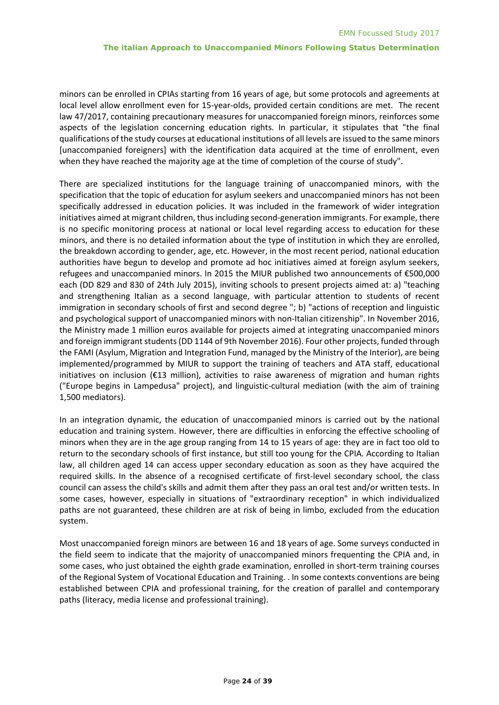minors can be enrolled in CPIAs starting from 16 years of age, but some protocols and agreements at local level allow enrollment even for 15-year-olds, provided certain conditions are met. The recent law 47/2017, containing precautionary measures for unaccompanied foreign minors, reinforces some aspects of the legislation concerning education rights. In particular, it stipulates that "the final qualifications of the study courses at educational institutions of all levels are issued to the same minors [unaccompanied foreigners] with the identification data acquired at the time of enrollment, even when they have reached the majority age at the time of completion of the course of study".

There are specialized institutions for the language training of unaccompanied minors, with the specification that the topic of education for asylum seekers and unaccompanied minors has not been specifically addressed in education policies. It was included in the framework of wider integration initiatives aimed at migrant children, thus including second-generation immigrants. For example, there is no specific monitoring process at national or local level regarding access to education for these minors, and there is no detailed information about the type of institution in which they are enrolled, the breakdown according to gender, age, etc. However, in the most recent period, national education authorities have begun to develop and promote ad hoc initiatives aimed at foreign asylum seekers, refugees and unaccompanied minors. In 2015 the MIUR published two announcements of €500,000 each (DD 829 and 830 of 24th July 2015), inviting schools to present projects aimed at: a) "teaching and strengthening Italian as a second language, with particular attention to students of recent immigration in secondary schools of first and second degree "; b) "actions of reception and linguistic and psychological support of unaccompanied minors with non-Italian citizenship". In November 2016, the Ministry made 1 million euros available for projects aimed at integrating unaccompanied minors and foreign immigrant students (DD 1144 of 9th November 2016). Four other projects, funded through the FAMI (Asylum, Migration and Integration Fund, managed by the Ministry of the Interior), are being implemented/programmed by MIUR to support the training of teachers and ATA staff, educational initiatives on inclusion (€13 million), activities to raise awareness of migration and human rights ("Europe begins in Lampedusa" project), and linguistic-cultural mediation (with the aim of training 1,500 mediators).

In an integration dynamic, the education of unaccompanied minors is carried out by the national education and training system. However, there are difficulties in enforcing the effective schooling of minors when they are in the age group ranging from 14 to 15 years of age: they are in fact too old to return to the secondary schools of first instance, but still too young for the CPIA. According to Italian law, all children aged 14 can access upper secondary education as soon as they have acquired the required skills. In the absence of a recognised certificate of first-level secondary school, the class council can assess the child's skills and admit them after they pass an oral test and/or written tests. In some cases, however, especially in situations of "extraordinary reception" in which individualized paths are not guaranteed, these children are at risk of being in limbo, excluded from the education system.

Most unaccompanied foreign minors are between 16 and 18 years of age. Some surveys conducted in the field seem to indicate that the majority of unaccompanied minors frequenting the CPIA and, in some cases, who just obtained the eighth grade examination, enrolled in short-term training courses of the Regional System of Vocational Education and Training. . In some contexts conventions are being established between CPIA and professional training, for the creation of parallel and contemporary paths (literacy, media license and professional training).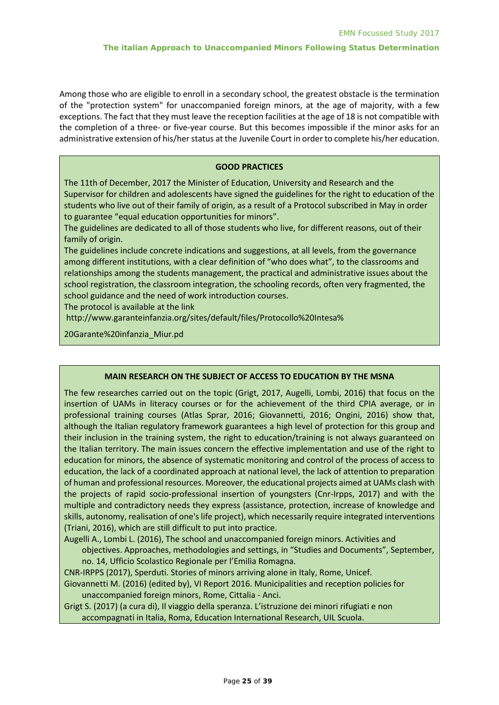Among those who are eligible to enroll in a secondary school, the greatest obstacle is the termination of the "protection system" for unaccompanied foreign minors, at the age of majority, with a few exceptions. The fact that they must leave the reception facilities at the age of 18 is not compatible with the completion of a three- or five-year course. But this becomes impossible if the minor asks for an administrative extension of his/her status at the Juvenile Court in order to complete his/her education.

# **GOOD PRACTICES**

The 11th of December, 2017 the Minister of Education, University and Research and the Supervisor for children and adolescents have signed the guidelines for the right to education of the students who live out of their family of origin, as a result of a Protocol subscribed in May in order to guarantee "equal education opportunities for minors".

The guidelines are dedicated to all of those students who live, for different reasons, out of their family of origin.

The guidelines include concrete indications and suggestions, at all levels, from the governance among different institutions, with a clear definition of "who does what", to the classrooms and relationships among the students management, the practical and administrative issues about the school registration, the classroom integration, the schooling records, often very fragmented, the school guidance and the need of work introduction courses.

The protocol is available at the link

http://www.garanteinfanzia.org/sites/default/files/Protocollo%20Intesa%

20Garante%20infanzia\_Miur.pd

# **MAIN RESEARCH ON THE SUBJECT OF ACCESS TO EDUCATION BY THE MSNA**

The few researches carried out on the topic (Grigt, 2017, Augelli, Lombi, 2016) that focus on the insertion of UAMs in literacy courses or for the achievement of the third CPIA average, or in professional training courses (Atlas Sprar, 2016; Giovannetti, 2016; Ongini, 2016) show that, although the Italian regulatory framework guarantees a high level of protection for this group and their inclusion in the training system, the right to education/training is not always guaranteed on the Italian territory. The main issues concern the effective implementation and use of the right to education for minors, the absence of systematic monitoring and control of the process of access to education, the lack of a coordinated approach at national level, the lack of attention to preparation of human and professional resources. Moreover, the educational projects aimed at UAMs clash with the projects of rapid socio-professional insertion of youngsters (Cnr-Irpps, 2017) and with the multiple and contradictory needs they express (assistance, protection, increase of knowledge and skills, autonomy, realisation of one's life project), which necessarily require integrated interventions (Triani, 2016), which are still difficult to put into practice.

Augelli A., Lombi L. (2016), The school and unaccompanied foreign minors. Activities and objectives. Approaches, methodologies and settings, in "Studies and Documents", September, no. 14, Ufficio Scolastico Regionale per l'Emilia Romagna.

CNR-IRPPS (2017), Sperduti. Stories of minors arriving alone in Italy, Rome, Unicef.

Giovannetti M. (2016) (edited by), VI Report 2016. Municipalities and reception policies for unaccompanied foreign minors, Rome, Cittalia - Anci.

Grigt S. (2017) (a cura di), Il viaggio della speranza. L'istruzione dei minori rifugiati e non accompagnati in Italia, Roma, Education International Research, UIL Scuola.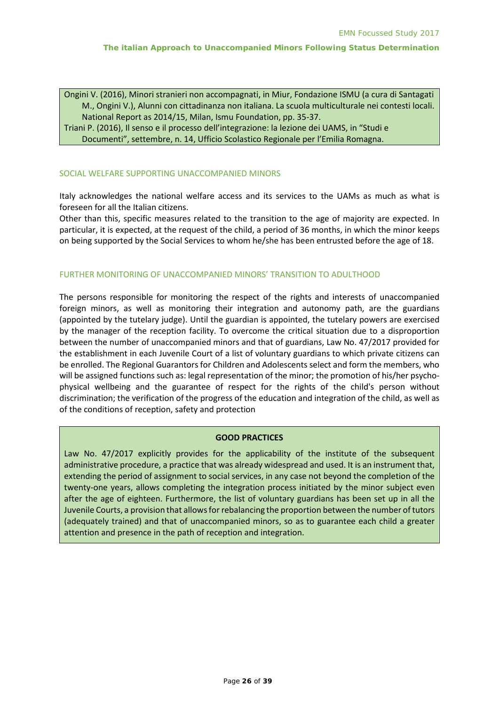Ongini V. (2016), Minori stranieri non accompagnati, in Miur, Fondazione ISMU (a cura di Santagati M., Ongini V.), Alunni con cittadinanza non italiana. La scuola multiculturale nei contesti locali. National Report as 2014/15, Milan, Ismu Foundation, pp. 35-37.

Triani P. (2016), Il senso e il processo dell'integrazione: la lezione dei UAMS, in "Studi e Documenti", settembre, n. 14, Ufficio Scolastico Regionale per l'Emilia Romagna.

# <span id="page-25-0"></span>SOCIAL WELFARE SUPPORTING UNACCOMPANIED MINORS

Italy acknowledges the national welfare access and its services to the UAMs as much as what is foreseen for all the Italian citizens.

Other than this, specific measures related to the transition to the age of majority are expected. In particular, it is expected, at the request of the child, a period of 36 months, in which the minor keeps on being supported by the Social Services to whom he/she has been entrusted before the age of 18.

# <span id="page-25-1"></span>FURTHER MONITORING OF UNACCOMPANIED MINORS' TRANSITION TO ADULTHOOD

The persons responsible for monitoring the respect of the rights and interests of unaccompanied foreign minors, as well as monitoring their integration and autonomy path, are the guardians (appointed by the tutelary judge). Until the guardian is appointed, the tutelary powers are exercised by the manager of the reception facility. To overcome the critical situation due to a disproportion between the number of unaccompanied minors and that of guardians, Law No. 47/2017 provided for the establishment in each Juvenile Court of a list of voluntary guardians to which private citizens can be enrolled. The Regional Guarantors for Children and Adolescents select and form the members, who will be assigned functions such as: legal representation of the minor; the promotion of his/her psychophysical wellbeing and the guarantee of respect for the rights of the child's person without discrimination; the verification of the progress of the education and integration of the child, as well as of the conditions of reception, safety and protection

# **GOOD PRACTICES**

Law No. 47/2017 explicitly provides for the applicability of the institute of the subsequent administrative procedure, a practice that was already widespread and used. It is an instrument that, extending the period of assignment to social services, in any case not beyond the completion of the twenty-one years, allows completing the integration process initiated by the minor subject even after the age of eighteen. Furthermore, the list of voluntary guardians has been set up in all the Juvenile Courts, a provision that allows for rebalancing the proportion between the number of tutors (adequately trained) and that of unaccompanied minors, so as to guarantee each child a greater attention and presence in the path of reception and integration.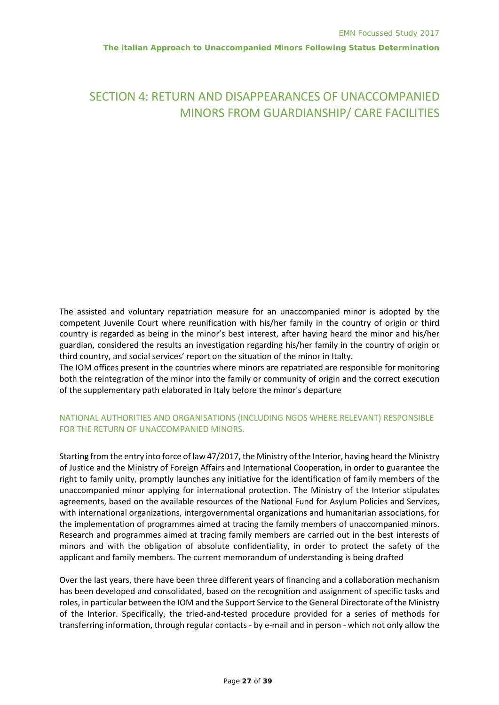# <span id="page-26-0"></span>SECTION 4: RETURN AND DISAPPEARANCES OF UNACCOMPANIED MINORS FROM GUARDIANSHIP/ CARE FACILITIES

The assisted and voluntary repatriation measure for an unaccompanied minor is adopted by the competent Juvenile Court where reunification with his/her family in the country of origin or third country is regarded as being in the minor's best interest, after having heard the minor and his/her guardian, considered the results an investigation regarding his/her family in the country of origin or third country, and social services' report on the situation of the minor in Italty.

The IOM offices present in the countries where minors are repatriated are responsible for monitoring both the reintegration of the minor into the family or community of origin and the correct execution of the supplementary path elaborated in Italy before the minor's departure

# <span id="page-26-1"></span>NATIONAL AUTHORITIES AND ORGANISATIONS (INCLUDING NGOS WHERE RELEVANT) RESPONSIBLE FOR THE RETURN OF UNACCOMPANIED MINORS.

Starting from the entry into force of law 47/2017, the Ministry of the Interior, having heard the Ministry of Justice and the Ministry of Foreign Affairs and International Cooperation, in order to guarantee the right to family unity, promptly launches any initiative for the identification of family members of the unaccompanied minor applying for international protection. The Ministry of the Interior stipulates agreements, based on the available resources of the National Fund for Asylum Policies and Services, with international organizations, intergovernmental organizations and humanitarian associations, for the implementation of programmes aimed at tracing the family members of unaccompanied minors. Research and programmes aimed at tracing family members are carried out in the best interests of minors and with the obligation of absolute confidentiality, in order to protect the safety of the applicant and family members. The current memorandum of understanding is being drafted

Over the last years, there have been three different years of financing and a collaboration mechanism has been developed and consolidated, based on the recognition and assignment of specific tasks and roles, in particular between the IOM and the Support Service to the General Directorate of the Ministry of the Interior. Specifically, the tried-and-tested procedure provided for a series of methods for transferring information, through regular contacts - by e-mail and in person - which not only allow the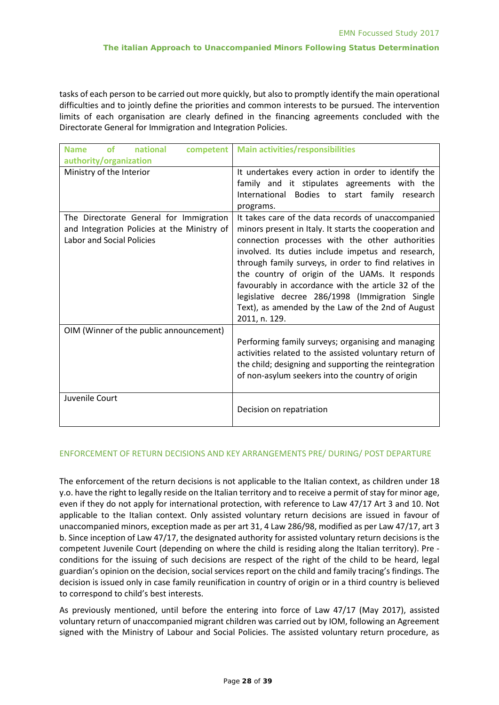tasks of each person to be carried out more quickly, but also to promptly identify the main operational difficulties and to jointly define the priorities and common interests to be pursued. The intervention limits of each organisation are clearly defined in the financing agreements concluded with the Directorate General for Immigration and Integration Policies.

| of<br>national<br><b>Name</b><br>competent<br>authority/organization                                                       | <b>Main activities/responsibilities</b>                                                                                                                                                                                                                                                                                                                                                                                                                                                                          |
|----------------------------------------------------------------------------------------------------------------------------|------------------------------------------------------------------------------------------------------------------------------------------------------------------------------------------------------------------------------------------------------------------------------------------------------------------------------------------------------------------------------------------------------------------------------------------------------------------------------------------------------------------|
| Ministry of the Interior                                                                                                   | It undertakes every action in order to identify the<br>family and it stipulates agreements with the<br>International Bodies to start family research<br>programs.                                                                                                                                                                                                                                                                                                                                                |
| The Directorate General for Immigration<br>and Integration Policies at the Ministry of<br><b>Labor and Social Policies</b> | It takes care of the data records of unaccompanied<br>minors present in Italy. It starts the cooperation and<br>connection processes with the other authorities<br>involved. Its duties include impetus and research,<br>through family surveys, in order to find relatives in<br>the country of origin of the UAMs. It responds<br>favourably in accordance with the article 32 of the<br>legislative decree 286/1998 (Immigration Single<br>Text), as amended by the Law of the 2nd of August<br>2011, n. 129. |
| OIM (Winner of the public announcement)                                                                                    | Performing family surveys; organising and managing<br>activities related to the assisted voluntary return of<br>the child; designing and supporting the reintegration<br>of non-asylum seekers into the country of origin                                                                                                                                                                                                                                                                                        |
| Juvenile Court                                                                                                             | Decision on repatriation                                                                                                                                                                                                                                                                                                                                                                                                                                                                                         |

# <span id="page-27-0"></span>ENFORCEMENT OF RETURN DECISIONS AND KEY ARRANGEMENTS PRE/ DURING/ POST DEPARTURE

The enforcement of the return decisions is not applicable to the Italian context, as children under 18 y.o. have the right to legally reside on the Italian territory and to receive a permit of stay for minor age, even if they do not apply for international protection, with reference to Law 47/17 Art 3 and 10. Not applicable to the Italian context. Only assisted voluntary return decisions are issued in favour of unaccompanied minors, exception made as per art 31, 4 Law 286/98, modified as per Law 47/17, art 3 b. Since inception of Law 47/17, the designated authority for assisted voluntary return decisions is the competent Juvenile Court (depending on where the child is residing along the Italian territory). Pre conditions for the issuing of such decisions are respect of the right of the child to be heard, legal guardian's opinion on the decision, social services report on the child and family tracing's findings. The decision is issued only in case family reunification in country of origin or in a third country is believed to correspond to child's best interests.

As previously mentioned, until before the entering into force of Law 47/17 (May 2017), assisted voluntary return of unaccompanied migrant children was carried out by IOM, following an Agreement signed with the Ministry of Labour and Social Policies. The assisted voluntary return procedure, as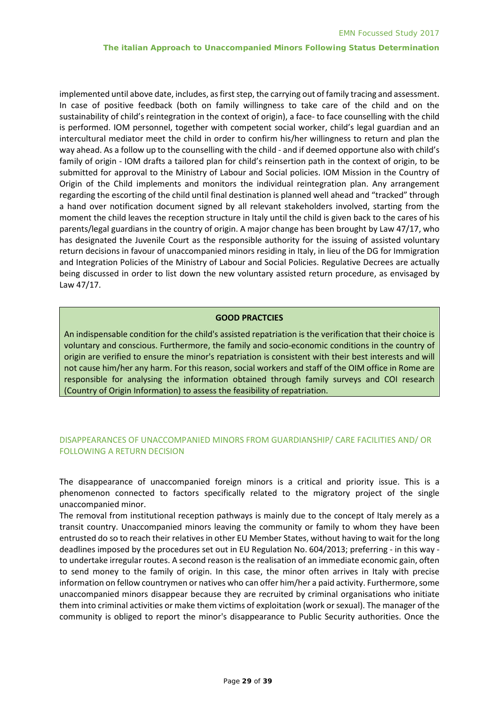implemented until above date, includes, as first step, the carrying out of family tracing and assessment. In case of positive feedback (both on family willingness to take care of the child and on the sustainability of child's reintegration in the context of origin), a face- to face counselling with the child is performed. IOM personnel, together with competent social worker, child's legal guardian and an intercultural mediator meet the child in order to confirm his/her willingness to return and plan the way ahead. As a follow up to the counselling with the child - and if deemed opportune also with child's family of origin - IOM drafts a tailored plan for child's reinsertion path in the context of origin, to be submitted for approval to the Ministry of Labour and Social policies. IOM Mission in the Country of Origin of the Child implements and monitors the individual reintegration plan. Any arrangement regarding the escorting of the child until final destination is planned well ahead and "tracked" through a hand over notification document signed by all relevant stakeholders involved, starting from the moment the child leaves the reception structure in Italy until the child is given back to the cares of his parents/legal guardians in the country of origin. A major change has been brought by Law 47/17, who has designated the Juvenile Court as the responsible authority for the issuing of assisted voluntary return decisions in favour of unaccompanied minors residing in Italy, in lieu of the DG for Immigration and Integration Policies of the Ministry of Labour and Social Policies. Regulative Decrees are actually being discussed in order to list down the new voluntary assisted return procedure, as envisaged by Law 47/17.

# **GOOD PRACTCIES**

An indispensable condition for the child's assisted repatriation is the verification that their choice is voluntary and conscious. Furthermore, the family and socio-economic conditions in the country of origin are verified to ensure the minor's repatriation is consistent with their best interests and will not cause him/her any harm. For this reason, social workers and staff of the OIM office in Rome are responsible for analysing the information obtained through family surveys and COI research (Country of Origin Information) to assess the feasibility of repatriation.

# <span id="page-28-0"></span>DISAPPEARANCES OF UNACCOMPANIED MINORS FROM GUARDIANSHIP/ CARE FACILITIES AND/ OR FOLLOWING A RETURN DECISION

The disappearance of unaccompanied foreign minors is a critical and priority issue. This is a phenomenon connected to factors specifically related to the migratory project of the single unaccompanied minor.

The removal from institutional reception pathways is mainly due to the concept of Italy merely as a transit country. Unaccompanied minors leaving the community or family to whom they have been entrusted do so to reach their relatives in other EU Member States, without having to wait for the long deadlines imposed by the procedures set out in EU Regulation No. 604/2013; preferring - in this way to undertake irregular routes. A second reason is the realisation of an immediate economic gain, often to send money to the family of origin. In this case, the minor often arrives in Italy with precise information on fellow countrymen or natives who can offer him/her a paid activity. Furthermore, some unaccompanied minors disappear because they are recruited by criminal organisations who initiate them into criminal activities or make them victims of exploitation (work or sexual). The manager of the community is obliged to report the minor's disappearance to Public Security authorities. Once the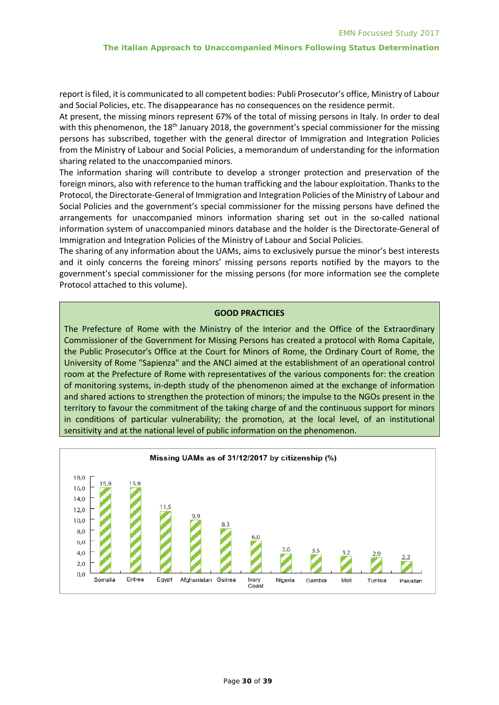report is filed, it is communicated to all competent bodies: Publi Prosecutor's office, Ministry of Labour and Social Policies, etc. The disappearance has no consequences on the residence permit.

At present, the missing minors represent 67% of the total of missing persons in Italy. In order to deal with this phenomenon, the 18<sup>th</sup> January 2018, the government's special commissioner for the missing persons has subscribed, together with the general director of Immigration and Integration Policies from the Ministry of Labour and Social Policies, a memorandum of understanding for the information sharing related to the unaccompanied minors.

The information sharing will contribute to develop a stronger protection and preservation of the foreign minors, also with reference to the human trafficking and the labour exploitation. Thanks to the Protocol, the Directorate-General of Immigration and Integration Policies of the Ministry of Labour and Social Policies and the government's special commissioner for the missing persons have defined the arrangements for unaccompanied minors information sharing set out in the so-called national information system of unaccompanied minors database and the holder is the Directorate-General of Immigration and Integration Policies of the Ministry of Labour and Social Policies.

The sharing of any information about the UAMs, aims to exclusively pursue the minor's best interests and it oinly concerns the foreing minors' missing persons reports notified by the mayors to the government's special commissioner for the missing persons (for more information see the complete Protocol attached to this volume).

#### **GOOD PRACTICIES**

The Prefecture of Rome with the Ministry of the Interior and the Office of the Extraordinary Commissioner of the Government for Missing Persons has created a protocol with Roma Capitale, the Public Prosecutor's Office at the Court for Minors of Rome, the Ordinary Court of Rome, the University of Rome "Sapienza" and the ANCI aimed at the establishment of an operational control room at the Prefecture of Rome with representatives of the various components for: the creation of monitoring systems, in-depth study of the phenomenon aimed at the exchange of information and shared actions to strengthen the protection of minors; the impulse to the NGOs present in the territory to favour the commitment of the taking charge of and the continuous support for minors in conditions of particular vulnerability; the promotion, at the local level, of an institutional sensitivity and at the national level of public information on the phenomenon.

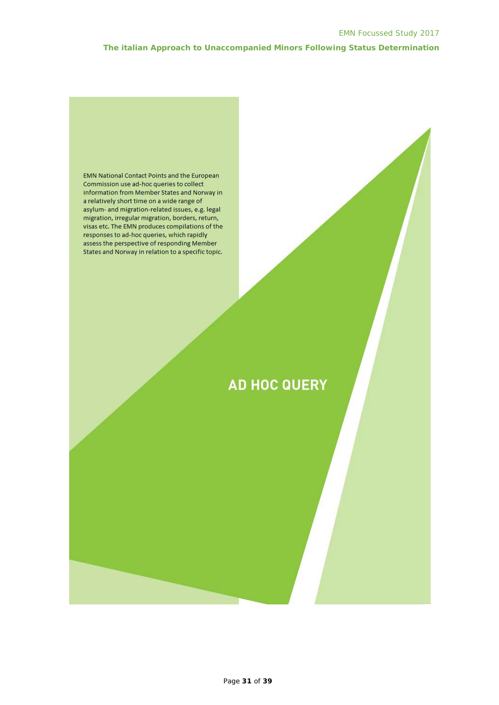**EMN National Contact Points and the European** Commission use ad-hoc queries to collect information from Member States and Norway in a relatively short time on a wide range of asylum- and migration-related issues, e.g. legal migration, irregular migration, borders, return, visas etc. The EMN produces compilations of the responses to ad-hoc queries, which rapidly assess the perspective of responding Member States and Norway in relation to a specific topic.

**AD HOC QUERY**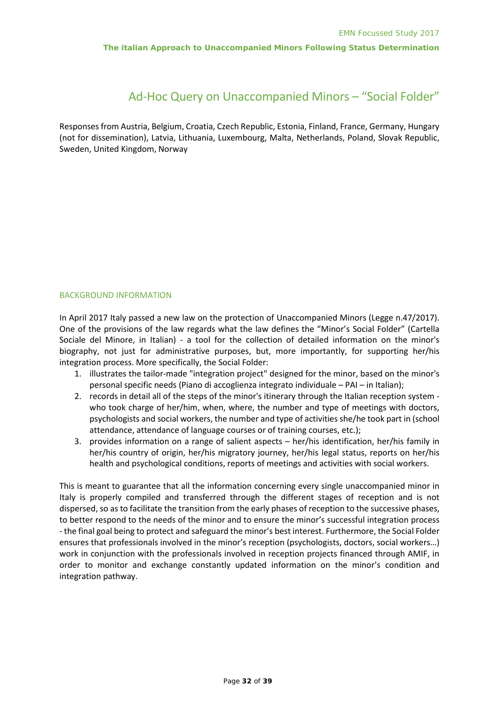# Ad-Hoc Query on Unaccompanied Minors – "Social Folder"

<span id="page-31-0"></span>Responses from Austria, Belgium, Croatia, Czech Republic, Estonia, Finland, France, Germany, Hungary (not for dissemination), Latvia, Lithuania, Luxembourg, Malta, Netherlands, Poland, Slovak Republic, Sweden, United Kingdom, Norway

# BACKGROUND INFORMATION

In April 2017 Italy passed a new law on the protection of Unaccompanied Minors (Legge n.47/2017). One of the provisions of the law regards what the law defines the "Minor's Social Folder" (Cartella Sociale del Minore, in Italian) - a tool for the collection of detailed information on the minor's biography, not just for administrative purposes, but, more importantly, for supporting her/his integration process. More specifically, the Social Folder:

- 1. illustrates the tailor-made "integration project" designed for the minor, based on the minor's personal specific needs (Piano di accoglienza integrato individuale – PAI – in Italian);
- 2. records in detail all of the steps of the minor's itinerary through the Italian reception system who took charge of her/him, when, where, the number and type of meetings with doctors, psychologists and social workers, the number and type of activities she/he took part in (school attendance, attendance of language courses or of training courses, etc.);
- 3. provides information on a range of salient aspects her/his identification, her/his family in her/his country of origin, her/his migratory journey, her/his legal status, reports on her/his health and psychological conditions, reports of meetings and activities with social workers.

This is meant to guarantee that all the information concerning every single unaccompanied minor in Italy is properly compiled and transferred through the different stages of reception and is not dispersed, so as to facilitate the transition from the early phases of reception to the successive phases, to better respond to the needs of the minor and to ensure the minor's successful integration process - the final goal being to protect and safeguard the minor's best interest. Furthermore, the Social Folder ensures that professionals involved in the minor's reception (psychologists, doctors, social workers…) work in conjunction with the professionals involved in reception projects financed through AMIF, in order to monitor and exchange constantly updated information on the minor's condition and integration pathway.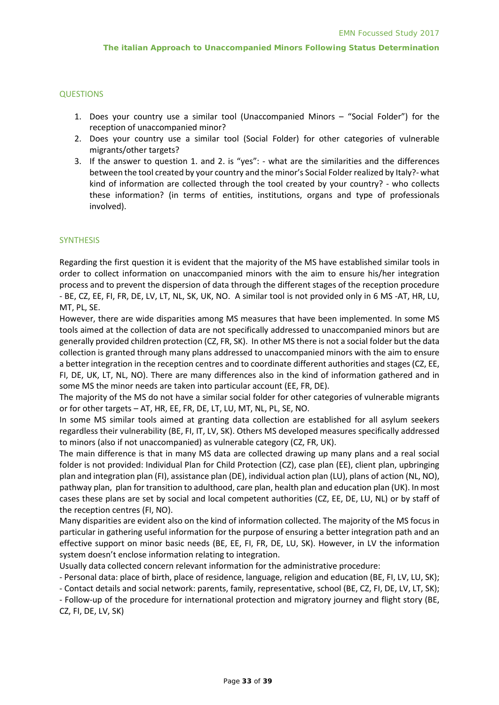## QUESTIONS

- 1. Does your country use a similar tool (Unaccompanied Minors "Social Folder") for the reception of unaccompanied minor?
- 2. Does your country use a similar tool (Social Folder) for other categories of vulnerable migrants/other targets?
- 3. If the answer to question 1. and 2. is "yes": what are the similarities and the differences between the tool created by your country and the minor's Social Folder realized by Italy?- what kind of information are collected through the tool created by your country? - who collects these information? (in terms of entities, institutions, organs and type of professionals involved).

# **SYNTHESIS**

Regarding the first question it is evident that the majority of the MS have established similar tools in order to collect information on unaccompanied minors with the aim to ensure his/her integration process and to prevent the dispersion of data through the different stages of the reception procedure - BE, CZ, EE, FI, FR, DE, LV, LT, NL, SK, UK, NO. A similar tool is not provided only in 6 MS -AT, HR, LU, MT, PL, SE.

However, there are wide disparities among MS measures that have been implemented. In some MS tools aimed at the collection of data are not specifically addressed to unaccompanied minors but are generally provided children protection (CZ, FR, SK). In other MS there is not a social folder but the data collection is granted through many plans addressed to unaccompanied minors with the aim to ensure a better integration in the reception centres and to coordinate different authorities and stages (CZ, EE, FI, DE, UK, LT, NL, NO). There are many differences also in the kind of information gathered and in some MS the minor needs are taken into particular account (EE, FR, DE).

The majority of the MS do not have a similar social folder for other categories of vulnerable migrants or for other targets – AT, HR, EE, FR, DE, LT, LU, MT, NL, PL, SE, NO.

In some MS similar tools aimed at granting data collection are established for all asylum seekers regardless their vulnerability (BE, FI, IT, LV, SK). Others MS developed measures specifically addressed to minors (also if not unaccompanied) as vulnerable category (CZ, FR, UK).

The main difference is that in many MS data are collected drawing up many plans and a real social folder is not provided: Individual Plan for Child Protection (CZ), case plan (EE), client plan, upbringing plan and integration plan (FI), assistance plan (DE), individual action plan (LU), plans of action (NL, NO), pathway plan, plan for transition to adulthood, care plan, health plan and education plan (UK). In most cases these plans are set by social and local competent authorities (CZ, EE, DE, LU, NL) or by staff of the reception centres (FI, NO).

Many disparities are evident also on the kind of information collected. The majority of the MS focus in particular in gathering useful information for the purpose of ensuring a better integration path and an effective support on minor basic needs (BE, EE, FI, FR, DE, LU, SK). However, in LV the information system doesn't enclose information relating to integration.

Usually data collected concern relevant information for the administrative procedure:

- Personal data: place of birth, place of residence, language, religion and education (BE, FI, LV, LU, SK);

- Contact details and social network: parents, family, representative, school (BE, CZ, FI, DE, LV, LT, SK);

- Follow-up of the procedure for international protection and migratory journey and flight story (BE, CZ, FI, DE, LV, SK)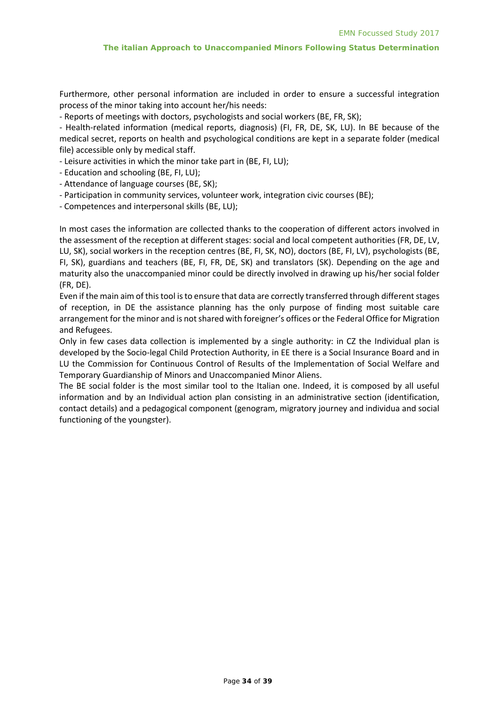Furthermore, other personal information are included in order to ensure a successful integration process of the minor taking into account her/his needs:

- Reports of meetings with doctors, psychologists and social workers (BE, FR, SK);

- Health-related information (medical reports, diagnosis) (FI, FR, DE, SK, LU). In BE because of the medical secret, reports on health and psychological conditions are kept in a separate folder (medical file) accessible only by medical staff.

- Leisure activities in which the minor take part in (BE, FI, LU);
- Education and schooling (BE, FI, LU);
- Attendance of language courses (BE, SK);
- Participation in community services, volunteer work, integration civic courses (BE);
- Competences and interpersonal skills (BE, LU);

In most cases the information are collected thanks to the cooperation of different actors involved in the assessment of the reception at different stages: social and local competent authorities (FR, DE, LV, LU, SK), social workers in the reception centres (BE, FI, SK, NO), doctors (BE, FI, LV), psychologists (BE, FI, SK), guardians and teachers (BE, FI, FR, DE, SK) and translators (SK). Depending on the age and maturity also the unaccompanied minor could be directly involved in drawing up his/her social folder (FR, DE).

Even if the main aim of this tool is to ensure that data are correctly transferred through different stages of reception, in DE the assistance planning has the only purpose of finding most suitable care arrangement for the minor and is not shared with foreigner's offices or the Federal Office for Migration and Refugees.

Only in few cases data collection is implemented by a single authority: in CZ the Individual plan is developed by the Socio-legal Child Protection Authority, in EE there is a Social Insurance Board and in LU the Commission for Continuous Control of Results of the Implementation of Social Welfare and Temporary Guardianship of Minors and Unaccompanied Minor Aliens.

The BE social folder is the most similar tool to the Italian one. Indeed, it is composed by all useful information and by an Individual action plan consisting in an administrative section (identification, contact details) and a pedagogical component (genogram, migratory journey and individua and social functioning of the youngster).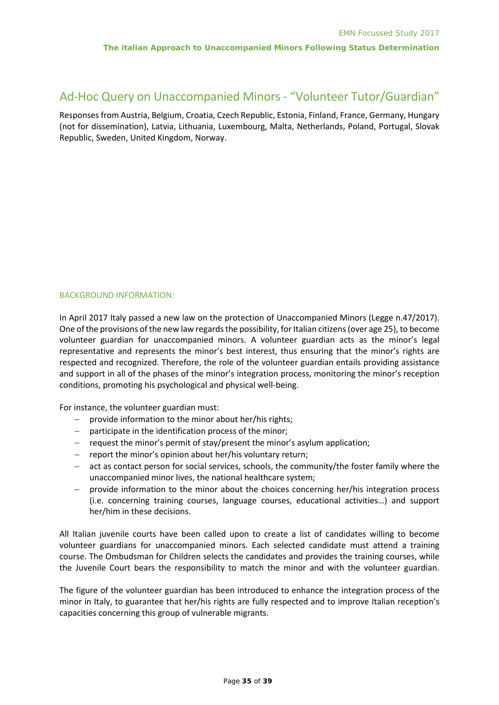# <span id="page-34-0"></span>Ad-Hoc Query on Unaccompanied Minors - "Volunteer Tutor/Guardian"

Responses from Austria, Belgium, Croatia, Czech Republic, Estonia, Finland, France, Germany, Hungary (not for dissemination), Latvia, Lithuania, Luxembourg, Malta, Netherlands, Poland, Portugal, Slovak Republic, Sweden, United Kingdom, Norway.

# BACKGROUND INFORMATION:

In April 2017 Italy passed a new law on the protection of Unaccompanied Minors (Legge n.47/2017). One of the provisions of the new law regards the possibility, for Italian citizens (over age 25), to become volunteer guardian for unaccompanied minors. A volunteer guardian acts as the minor's legal representative and represents the minor's best interest, thus ensuring that the minor's rights are respected and recognized. Therefore, the role of the volunteer guardian entails providing assistance and support in all of the phases of the minor's integration process, monitoring the minor's reception conditions, promoting his psychological and physical well-being.

For instance, the volunteer guardian must:

- − provide information to the minor about her/his rights;
- − participate in the identification process of the minor;
- − request the minor's permit of stay/present the minor's asylum application;
- − report the minor's opinion about her/his voluntary return;
- − act as contact person for social services, schools, the community/the foster family where the unaccompanied minor lives, the national healthcare system;
- − provide information to the minor about the choices concerning her/his integration process (i.e. concerning training courses, language courses, educational activities…) and support her/him in these decisions.

All Italian juvenile courts have been called upon to create a list of candidates willing to become volunteer guardians for unaccompanied minors. Each selected candidate must attend a training course. The Ombudsman for Children selects the candidates and provides the training courses, while the Juvenile Court bears the responsibility to match the minor and with the volunteer guardian.

The figure of the volunteer guardian has been introduced to enhance the integration process of the minor in Italy, to guarantee that her/his rights are fully respected and to improve Italian reception's capacities concerning this group of vulnerable migrants.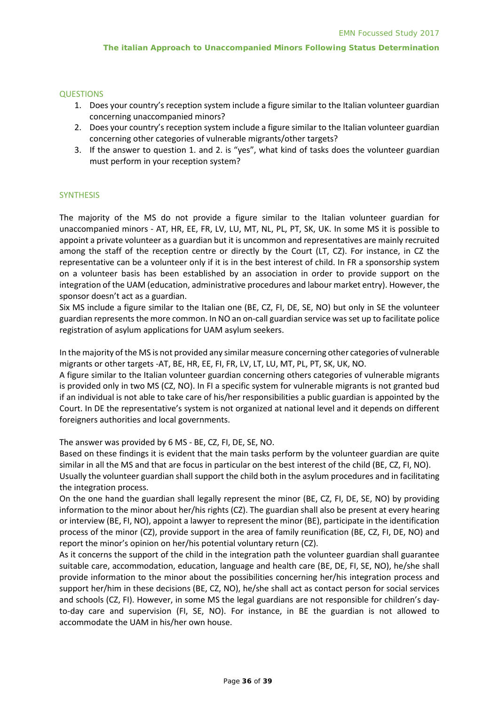#### QUESTIONS

- 1. Does your country's reception system include a figure similar to the Italian volunteer guardian concerning unaccompanied minors?
- 2. Does your country's reception system include a figure similar to the Italian volunteer guardian concerning other categories of vulnerable migrants/other targets?
- 3. If the answer to question 1. and 2. is "yes", what kind of tasks does the volunteer guardian must perform in your reception system?

#### **SYNTHESIS**

The majority of the MS do not provide a figure similar to the Italian volunteer guardian for unaccompanied minors - AT, HR, EE, FR, LV, LU, MT, NL, PL, PT, SK, UK. In some MS it is possible to appoint a private volunteer as a guardian but it is uncommon and representatives are mainly recruited among the staff of the reception centre or directly by the Court (LT, CZ). For instance, in CZ the representative can be a volunteer only if it is in the best interest of child. In FR a sponsorship system on a volunteer basis has been established by an association in order to provide support on the integration of the UAM (education, administrative procedures and labour market entry). However, the sponsor doesn't act as a guardian.

Six MS include a figure similar to the Italian one (BE, CZ, FI, DE, SE, NO) but only in SE the volunteer guardian represents the more common. In NO an on-call guardian service was set up to facilitate police registration of asylum applications for UAM asylum seekers.

In the majority of the MS is not provided any similar measure concerning other categories of vulnerable migrants or other targets -AT, BE, HR, EE, FI, FR, LV, LT, LU, MT, PL, PT, SK, UK, NO.

A figure similar to the Italian volunteer guardian concerning others categories of vulnerable migrants is provided only in two MS (CZ, NO). In FI a specific system for vulnerable migrants is not granted bud if an individual is not able to take care of his/her responsibilities a public guardian is appointed by the Court. In DE the representative's system is not organized at national level and it depends on different foreigners authorities and local governments.

The answer was provided by 6 MS - BE, CZ, FI, DE, SE, NO.

Based on these findings it is evident that the main tasks perform by the volunteer guardian are quite similar in all the MS and that are focus in particular on the best interest of the child (BE, CZ, FI, NO). Usually the volunteer guardian shall support the child both in the asylum procedures and in facilitating the integration process.

On the one hand the guardian shall legally represent the minor (BE, CZ, FI, DE, SE, NO) by providing information to the minor about her/his rights (CZ). The guardian shall also be present at every hearing or interview (BE, FI, NO), appoint a lawyer to represent the minor (BE), participate in the identification process of the minor (CZ), provide support in the area of family reunification (BE, CZ, FI, DE, NO) and report the minor's opinion on her/his potential voluntary return (CZ).

As it concerns the support of the child in the integration path the volunteer guardian shall guarantee suitable care, accommodation, education, language and health care (BE, DE, FI, SE, NO), he/she shall provide information to the minor about the possibilities concerning her/his integration process and support her/him in these decisions (BE, CZ, NO), he/she shall act as contact person for social services and schools (CZ, FI). However, in some MS the legal guardians are not responsible for children's dayto-day care and supervision (FI, SE, NO). For instance, in BE the guardian is not allowed to accommodate the UAM in his/her own house.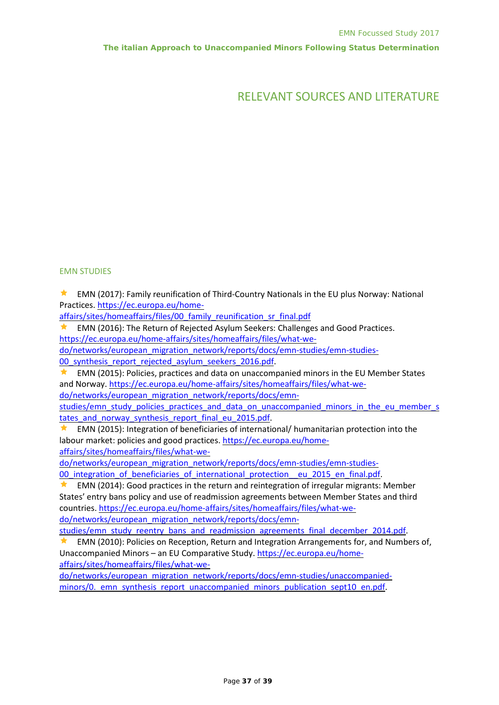# RELEVANT SOURCES AND LITERATURE

# <span id="page-36-0"></span>EMN STUDIES

 EMN (2017): Family reunification of Third-Country Nationals in the EU plus Norway: National Practices. [https://ec.europa.eu/home-](https://ec.europa.eu/home-affairs/sites/homeaffairs/files/00_family_reunification_sr_final.pdf)

[affairs/sites/homeaffairs/files/00\\_family\\_reunification\\_sr\\_final.pdf](https://ec.europa.eu/home-affairs/sites/homeaffairs/files/00_family_reunification_sr_final.pdf)

 EMN (2016): The Return of Rejected Asylum Seekers: Challenges and Good Practices. [https://ec.europa.eu/home-affairs/sites/homeaffairs/files/what-we](https://ec.europa.eu/home-affairs/sites/homeaffairs/files/what-we-do/networks/european_migration_network/reports/docs/emn-studies/emn-studies-00_synthesis_report_rejected_asylum_seekers_2016.pdf)[do/networks/european\\_migration\\_network/reports/docs/emn-studies/emn-studies-](https://ec.europa.eu/home-affairs/sites/homeaffairs/files/what-we-do/networks/european_migration_network/reports/docs/emn-studies/emn-studies-00_synthesis_report_rejected_asylum_seekers_2016.pdf)

00 synthesis report rejected asylum seekers 2016.pdf.

 EMN (2015): Policies, practices and data on unaccompanied minors in the EU Member States and Norway. [https://ec.europa.eu/home-affairs/sites/homeaffairs/files/what-we](https://ec.europa.eu/home-affairs/sites/homeaffairs/files/what-we-do/networks/european_migration_network/reports/docs/emn-studies/emn_study_policies_practices_and_data_on_unaccompanied_minors_in_the_eu_member_states_and_norway_synthesis_report_final_eu_2015.pdf)[do/networks/european\\_migration\\_network/reports/docs/emn-](https://ec.europa.eu/home-affairs/sites/homeaffairs/files/what-we-do/networks/european_migration_network/reports/docs/emn-studies/emn_study_policies_practices_and_data_on_unaccompanied_minors_in_the_eu_member_states_and_norway_synthesis_report_final_eu_2015.pdf)

[studies/emn\\_study\\_policies\\_practices\\_and\\_data\\_on\\_unaccompanied\\_minors\\_in\\_the\\_eu\\_member\\_s](https://ec.europa.eu/home-affairs/sites/homeaffairs/files/what-we-do/networks/european_migration_network/reports/docs/emn-studies/emn_study_policies_practices_and_data_on_unaccompanied_minors_in_the_eu_member_states_and_norway_synthesis_report_final_eu_2015.pdf) tates and norway synthesis report final eu 2015.pdf.

 EMN (2015): Integration of beneficiaries of international/ humanitarian protection into the labour market: policies and good practices[. https://ec.europa.eu/home](https://ec.europa.eu/home-affairs/sites/homeaffairs/files/what-we-do/networks/european_migration_network/reports/docs/emn-studies/emn-studies-00_integration_of_beneficiaries_of_international_protection__eu_2015_en_final.pdf)[affairs/sites/homeaffairs/files/what-we-](https://ec.europa.eu/home-affairs/sites/homeaffairs/files/what-we-do/networks/european_migration_network/reports/docs/emn-studies/emn-studies-00_integration_of_beneficiaries_of_international_protection__eu_2015_en_final.pdf)

[do/networks/european\\_migration\\_network/reports/docs/emn-studies/emn-studies-](https://ec.europa.eu/home-affairs/sites/homeaffairs/files/what-we-do/networks/european_migration_network/reports/docs/emn-studies/emn-studies-00_integration_of_beneficiaries_of_international_protection__eu_2015_en_final.pdf)[00\\_integration\\_of\\_beneficiaries\\_of\\_international\\_protection\\_\\_eu\\_2015\\_en\\_final.pdf.](https://ec.europa.eu/home-affairs/sites/homeaffairs/files/what-we-do/networks/european_migration_network/reports/docs/emn-studies/emn-studies-00_integration_of_beneficiaries_of_international_protection__eu_2015_en_final.pdf)

 EMN (2014): Good practices in the return and reintegration of irregular migrants: Member States' entry bans policy and use of readmission agreements between Member States and third countries. [https://ec.europa.eu/home-affairs/sites/homeaffairs/files/what-we](https://ec.europa.eu/home-affairs/sites/homeaffairs/files/what-we-do/networks/european_migration_network/reports/docs/emn-studies/emn_study_reentry_bans_and_readmission_agreements_final_december_2014.pdf)[do/networks/european\\_migration\\_network/reports/docs/emn-](https://ec.europa.eu/home-affairs/sites/homeaffairs/files/what-we-do/networks/european_migration_network/reports/docs/emn-studies/emn_study_reentry_bans_and_readmission_agreements_final_december_2014.pdf)

[studies/emn\\_study\\_reentry\\_bans\\_and\\_readmission\\_agreements\\_final\\_december\\_2014.pdf.](https://ec.europa.eu/home-affairs/sites/homeaffairs/files/what-we-do/networks/european_migration_network/reports/docs/emn-studies/emn_study_reentry_bans_and_readmission_agreements_final_december_2014.pdf)

 EMN (2010): Policies on Reception, Return and Integration Arrangements for, and Numbers of, Unaccompanied Minors – an EU Comparative Study. [https://ec.europa.eu/home](https://ec.europa.eu/home-affairs/sites/homeaffairs/files/what-we-do/networks/european_migration_network/reports/docs/emn-studies/unaccompanied-minors/0._emn_synthesis_report_unaccompanied_minors_publication_sept10_en.pdf)[affairs/sites/homeaffairs/files/what-we-](https://ec.europa.eu/home-affairs/sites/homeaffairs/files/what-we-do/networks/european_migration_network/reports/docs/emn-studies/unaccompanied-minors/0._emn_synthesis_report_unaccompanied_minors_publication_sept10_en.pdf)

[do/networks/european\\_migration\\_network/reports/docs/emn-studies/unaccompanied](https://ec.europa.eu/home-affairs/sites/homeaffairs/files/what-we-do/networks/european_migration_network/reports/docs/emn-studies/unaccompanied-minors/0._emn_synthesis_report_unaccompanied_minors_publication_sept10_en.pdf)minors/0. emn\_synthesis\_report\_unaccompanied\_minors\_publication\_sept10\_en.pdf.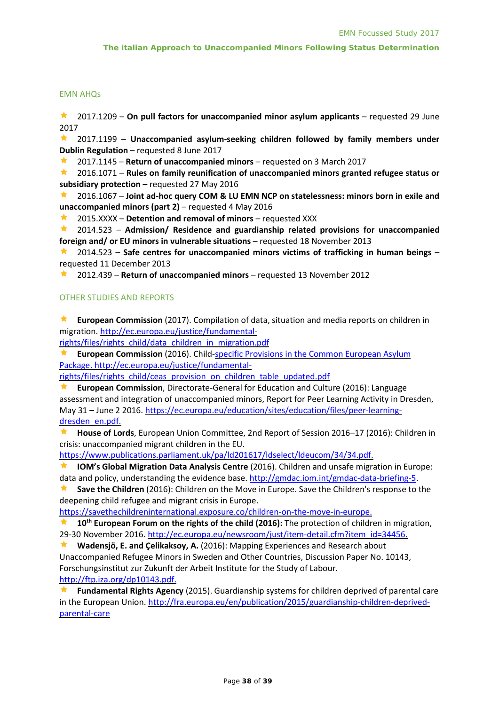#### EMN AHQs

 2017.1209 – **On pull factors for unaccompanied minor asylum applicants** – requested 29 June 2017

 2017.1199 – **Unaccompanied asylum-seeking children followed by family members under Dublin Regulation** – requested 8 June 2017

2017.1145 – **Return of unaccompanied minors** – requested on 3 March 2017

 2016.1071 – **Rules on family reunification of unaccompanied minors granted refugee status or subsidiary protection** – requested 27 May 2016

 2016.1067 – **Joint ad-hoc query COM & LU EMN NCP on statelessness: minors born in exile and unaccompanied minors (part 2)** – requested 4 May 2016

2015.XXXX – **Detention and removal of minors** – requested XXX

 2014.523 – **Admission/ Residence and guardianship related provisions for unaccompanied foreign and/ or EU minors in vulnerable situations** – requested 18 November 2013

 2014.523 – **Safe centres for unaccompanied minors victims of trafficking in human beings** – requested 11 December 2013

2012.439 – **Return of unaccompanied minors** – requested 13 November 2012

# OTHER STUDIES AND REPORTS

 **European Commission** (2017). Compilation of data, situation and media reports on children in migration[. http://ec.europa.eu/justice/fundamental-](http://ec.europa.eu/justice/fundamental-rights/files/rights_child/data_children_in_migration.pdf)

[rights/files/rights\\_child/data\\_children\\_in\\_migration.pdf](http://ec.europa.eu/justice/fundamental-rights/files/rights_child/data_children_in_migration.pdf)

 **European Commission** (2016). Child-specific Provisions in the Common European Asylum Package[. http://ec.europa.eu/justice/fundamental-](http://ec.europa.eu/justice/fundamental-rights/files/rights_child/ceas_provision_on_children_table_updated.pdf)

[rights/files/rights\\_child/ceas\\_provision\\_on\\_children\\_table\\_updated.pdf](http://ec.europa.eu/justice/fundamental-rights/files/rights_child/ceas_provision_on_children_table_updated.pdf)

 **European Commission**, Directorate-General for Education and Culture (2016): Language assessment and integration of unaccompanied minors, Report for Peer Learning Activity in Dresden, May 31 – June 2 2016. [https://ec.europa.eu/education/sites/education/files/peer-learning](https://ec.europa.eu/education/sites/education/files/peer-learning-dresden_en.pdf)[dresden\\_en.pdf.](https://ec.europa.eu/education/sites/education/files/peer-learning-dresden_en.pdf)

 **House of Lords**, European Union Committee, 2nd Report of Session 2016–17 (2016): Children in crisis: unaccompanied migrant children in the EU.

[https://www.publications.parliament.uk/pa/ld201617/ldselect/ldeucom/34/34.pdf.](https://www.publications.parliament.uk/pa/ld201617/ldselect/ldeucom/34/34.pdf)

 **IOM's Global Migration Data Analysis Centre** (2016). Children and unsafe migration in Europe: data and policy, understanding the evidence base[. http://gmdac.iom.int/gmdac-data-briefing-5.](http://gmdac.iom.int/gmdac-data-briefing-5)

 **Save the Children** (2016): Children on the Move in Europe. Save the Children's response to the deepening child refugee and migrant crisis in Europe.

[https://savethechildreninternational.exposure.co/children-on-the-move-in-europe.](https://savethechildreninternational.exposure.co/children-on-the-move-in-europe)

 **10th European Forum on the rights of the child (2016):** The protection of children in migration, 29-30 November 2016[. http://ec.europa.eu/newsroom/just/item-detail.cfm?item\\_id=34456.](http://ec.europa.eu/newsroom/just/item-detail.cfm?item_id=34456)

 **Wadensjö, E. and Çelikaksoy, A.** (2016): Mapping Experiences and Research about Unaccompanied Refugee Minors in Sweden and Other Countries, Discussion Paper No. 10143, Forschungsinstitut zur Zukunft der Arbeit Institute for the Study of Labour. [http://ftp.iza.org/dp10143.pdf.](http://ftp.iza.org/dp10143.pdf)

 **Fundamental Rights Agency** (2015). Guardianship systems for children deprived of parental care in the European Union. http://fra.europa.eu/en/publication/2015/guardianship-children-deprivedparental-care